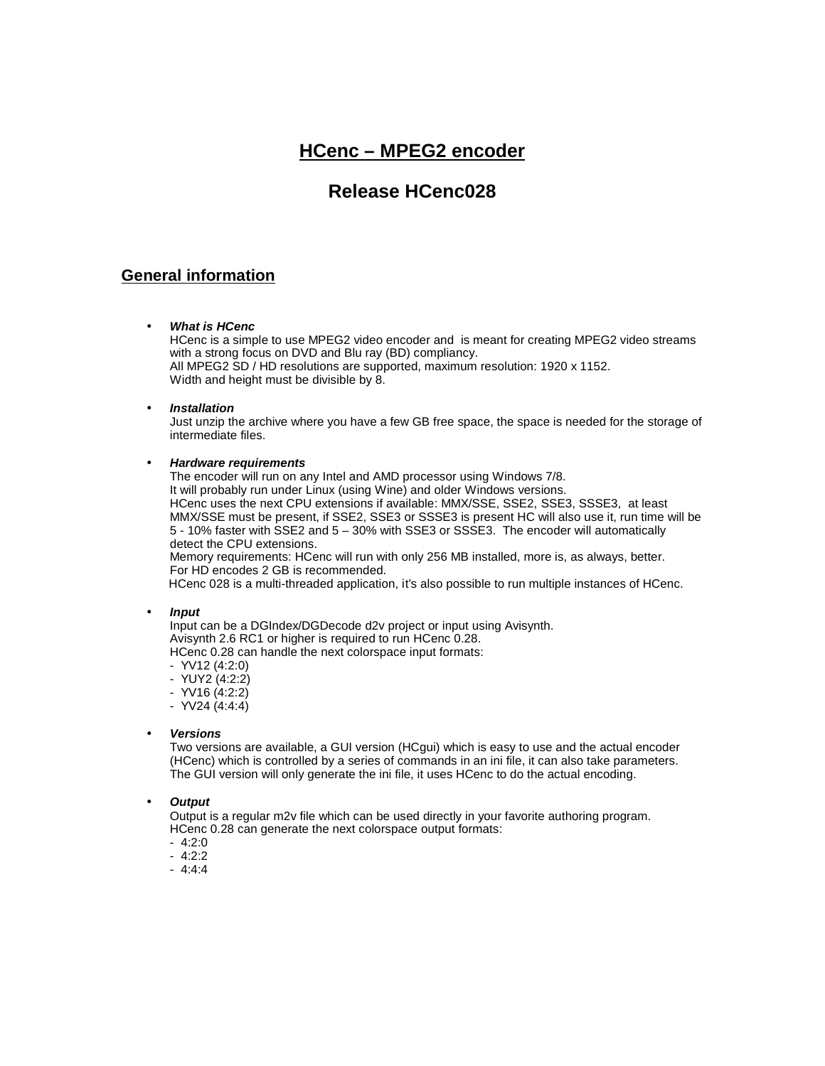# **HCenc – MPEG2 encoder**

# **Release HCenc028**

## **General information**

### *What is HCenc*

HCenc is a simple to use MPEG2 video encoder and is meant for creating MPEG2 video streams with a strong focus on DVD and Blu ray (BD) compliancy. All MPEG2 SD / HD resolutions are supported, maximum resolution: 1920 x 1152. Width and height must be divisible by 8.

### *Installation*

Just unzip the archive where you have a few GB free space, the space is needed for the storage of intermediate files.

### *Hardware requirements*

The encoder will run on any Intel and AMD processor using Windows 7/8. It will probably run under Linux (using Wine) and older Windows versions. HCenc uses the next CPU extensions if available: MMX/SSE, SSE2, SSE3, SSSE3, at least MMX/SSE must be present, if SSE2, SSE3 or SSSE3 is present HC will also use it, run time will be 5 - 10% faster with SSE2 and 5 – 30% with SSE3 or SSSE3. The encoder will automatically detect the CPU extensions.

Memory requirements: HCenc will run with only 256 MB installed, more is, as always, better. For HD encodes 2 GB is recommended.

HCenc 028 is a multi-threaded application, it's also possible to run multiple instances of HCenc.

### *Input*

Input can be a DGIndex/DGDecode d2v project or input using Avisynth. Avisynth 2.6 RC1 or higher is required to run HCenc 0.28. HCenc 0.28 can handle the next colorspace input formats:

- YV12 (4:2:0)
- YUY2 (4:2:2)
- YV16 (4:2:2)
- YV24 (4:4:4)

### *Versions*

Two versions are available, a GUI version (HCgui) which is easy to use and the actual encoder (HCenc) which is controlled by a series of commands in an ini file, it can also take parameters. The GUI version will only generate the ini file, it uses HCenc to do the actual encoding.

### *Output*

Output is a regular m2v file which can be used directly in your favorite authoring program. HCenc 0.28 can generate the next colorspace output formats:

- 4:2:0
- 4:2:2
- 4:4:4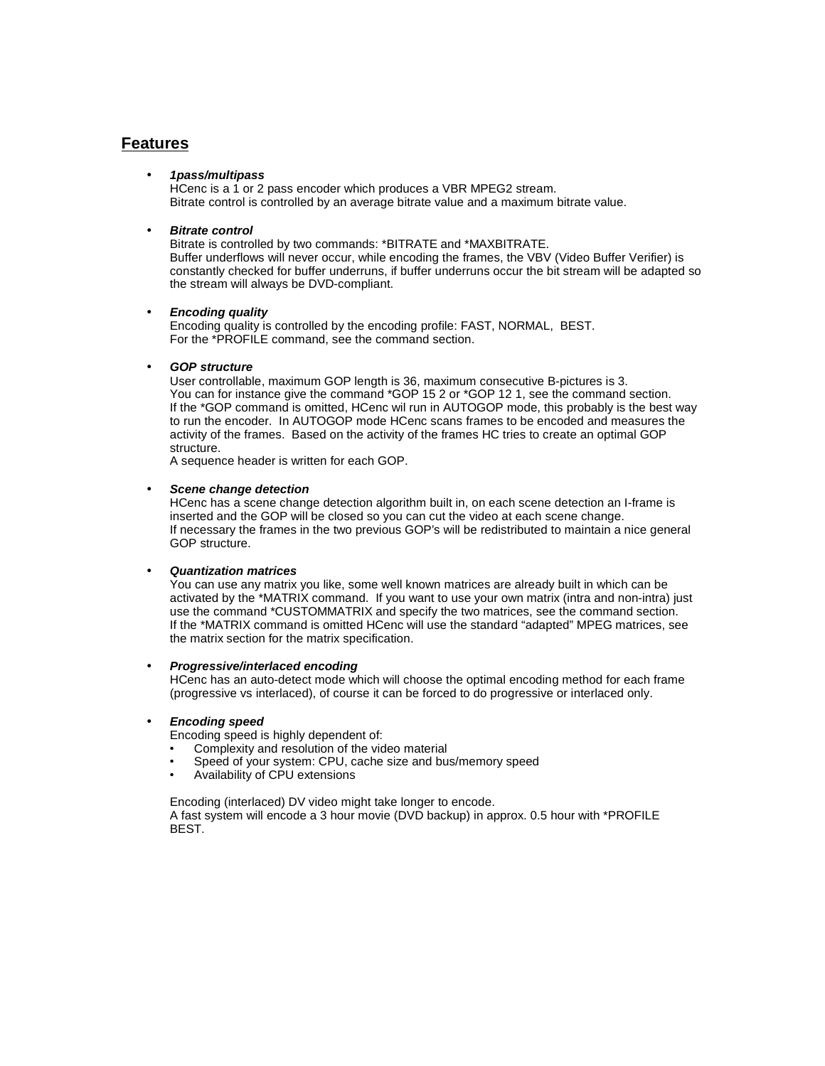### **Features**

### *1pass/multipass*

HCenc is a 1 or 2 pass encoder which produces a VBR MPEG2 stream. Bitrate control is controlled by an average bitrate value and a maximum bitrate value.

### *Bitrate control*

Bitrate is controlled by two commands: \*BITRATE and \*MAXBITRATE. Buffer underflows will never occur, while encoding the frames, the VBV (Video Buffer Verifier) is constantly checked for buffer underruns, if buffer underruns occur the bit stream will be adapted so the stream will always be DVD-compliant.

### *Encoding quality*

Encoding quality is controlled by the encoding profile: FAST, NORMAL, BEST. For the \*PROFILE command, see the command section.

### *GOP structure*

User controllable, maximum GOP length is 36, maximum consecutive B-pictures is 3. You can for instance give the command \*GOP 15 2 or \*GOP 12 1, see the command section. If the \*GOP command is omitted, HCenc wil run in AUTOGOP mode, this probably is the best way to run the encoder. In AUTOGOP mode HCenc scans frames to be encoded and measures the activity of the frames. Based on the activity of the frames HC tries to create an optimal GOP structure.

A sequence header is written for each GOP.

### *Scene change detection*

HCenc has a scene change detection algorithm built in, on each scene detection an I-frame is inserted and the GOP will be closed so you can cut the video at each scene change. If necessary the frames in the two previous GOP's will be redistributed to maintain a nice general GOP structure.

### *Quantization matrices*

You can use any matrix you like, some well known matrices are already built in which can be activated by the \*MATRIX command. If you want to use your own matrix (intra and non-intra) just use the command \*CUSTOMMATRIX and specify the two matrices, see the command section. If the \*MATRIX command is omitted HCenc will use the standard "adapted" MPEG matrices, see the matrix section for the matrix specification.

### *Progressive/interlaced encoding*

HCenc has an auto-detect mode which will choose the optimal encoding method for each frame (progressive vs interlaced), of course it can be forced to do progressive or interlaced only.

### *Encoding speed*

Encoding speed is highly dependent of:

- Complexity and resolution of the video material
- Speed of your system: CPU, cache size and bus/memory speed<br>• Availability of CPU extensions
- Availability of CPU extensions

Encoding (interlaced) DV video might take longer to encode. A fast system will encode a 3 hour movie (DVD backup) in approx. 0.5 hour with \*PROFILE BEST.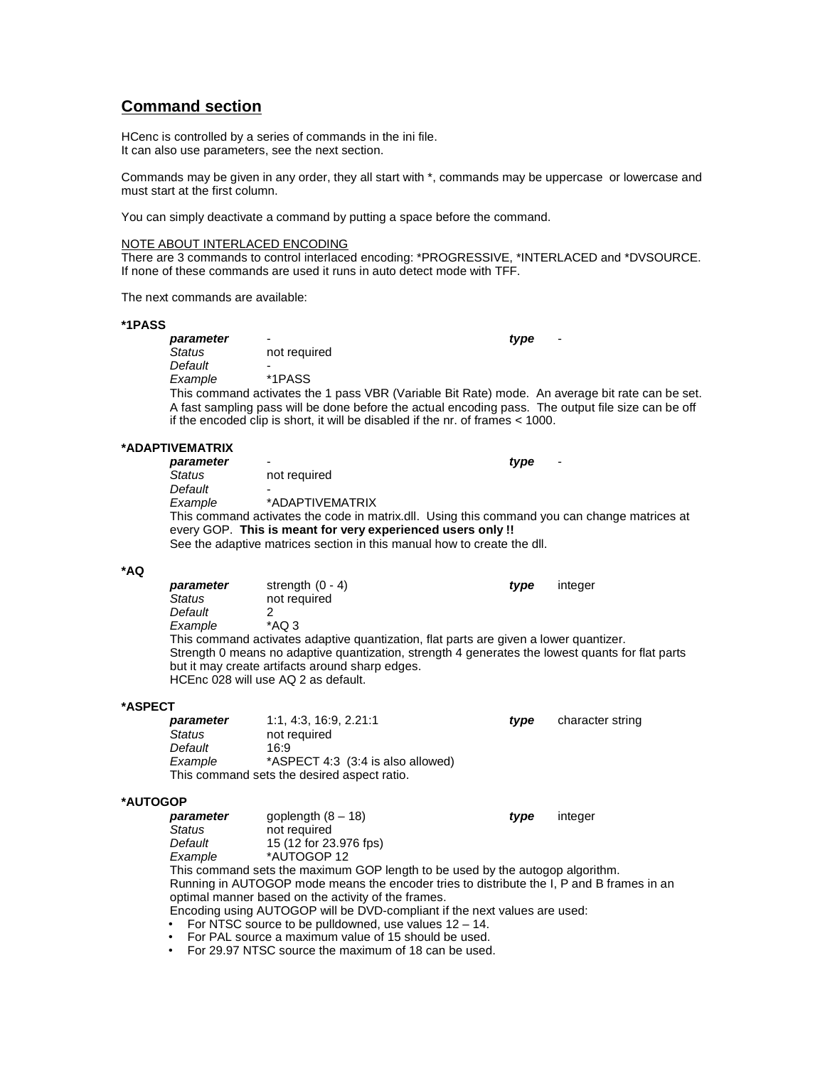## **Command section**

HCenc is controlled by a series of commands in the ini file. It can also use parameters, see the next section.

Commands may be given in any order, they all start with \*, commands may be uppercase or lowercase and must start at the first column.

You can simply deactivate a command by putting a space before the command.

### NOTE ABOUT INTERLACED ENCODING

There are 3 commands to control interlaced encoding: \*PROGRESSIVE, \*INTERLACED and \*DVSOURCE. If none of these commands are used it runs in auto detect mode with TFF.

The next commands are available:

### **\*1PASS**

| parameter |              | type<br>٠                                                                                                                                                                                             |
|-----------|--------------|-------------------------------------------------------------------------------------------------------------------------------------------------------------------------------------------------------|
| Status    | not required |                                                                                                                                                                                                       |
| Default   |              |                                                                                                                                                                                                       |
| Example   | *1PASS       |                                                                                                                                                                                                       |
|           |              | This command activates the 1 pass VBR (Variable Bit Rate) mode. An average bit rate can be set.<br>A fast sampling pass will be done before the actual encoding pass. The output file size can be off |
|           |              | if the encoded clip is short, it will be disabled if the nr. of frames < 1000.                                                                                                                        |

### **\*ADAPTIVEMATRIX**

| parameter | $\overline{\phantom{0}}$                                                | type<br>$\overline{\phantom{0}}$                                                             |
|-----------|-------------------------------------------------------------------------|----------------------------------------------------------------------------------------------|
| Status    | not required                                                            |                                                                                              |
| Default   |                                                                         |                                                                                              |
| Example   | *ADAPTIVEMATRIX                                                         |                                                                                              |
|           |                                                                         | This command activates the code in matrix.dll. Using this command you can change matrices at |
|           | every GOP. This is meant for very experienced users only !!             |                                                                                              |
|           | See the adaptive matrices section in this manual how to create the dll. |                                                                                              |

**\*AQ parameter** strength (0 - 4) **type** integer<br>Status not required *Status* not required *Default* 2  $Example$ This command activates adaptive quantization, flat parts are given a lower quantizer. Strength 0 means no adaptive quantization, strength 4 generates the lowest quants for flat parts but it may create artifacts around sharp edges. HCEnc 028 will use AQ 2 as default.

### **\*ASPECT**

| parameter | 1:1.4:3.16:9.2.21:1                         | tvpe | character string |
|-----------|---------------------------------------------|------|------------------|
| Status    | not required                                |      |                  |
| Default   | 16:9                                        |      |                  |
| Example   | *ASPECT 4:3 (3:4 is also allowed)           |      |                  |
|           | This command sets the desired aspect ratio. |      |                  |

### **\*AUTOGOP**

| parameter | goplength $(8 - 18)$                                                                      | type | integer |
|-----------|-------------------------------------------------------------------------------------------|------|---------|
| Status    | not required                                                                              |      |         |
| Default   | 15 (12 for 23.976 fps)                                                                    |      |         |
| Example   | *AUTOGOP 12                                                                               |      |         |
|           | This command sets the maximum GOP length to be used by the autogop algorithm.             |      |         |
|           | Running in AUTOGOP mode means the encoder tries to distribute the I, P and B frames in an |      |         |
|           | optimal manner based on the activity of the frames.                                       |      |         |
|           | Encoding using AUTOGOP will be DVD-compliant if the next values are used:                 |      |         |
|           | • For NTSC source to be pulldowned, use values $12 - 14$ .                                |      |         |
|           |                                                                                           |      |         |

- For PAL source a maximum value of 15 should be used.
- For 29.97 NTSC source the maximum of 18 can be used.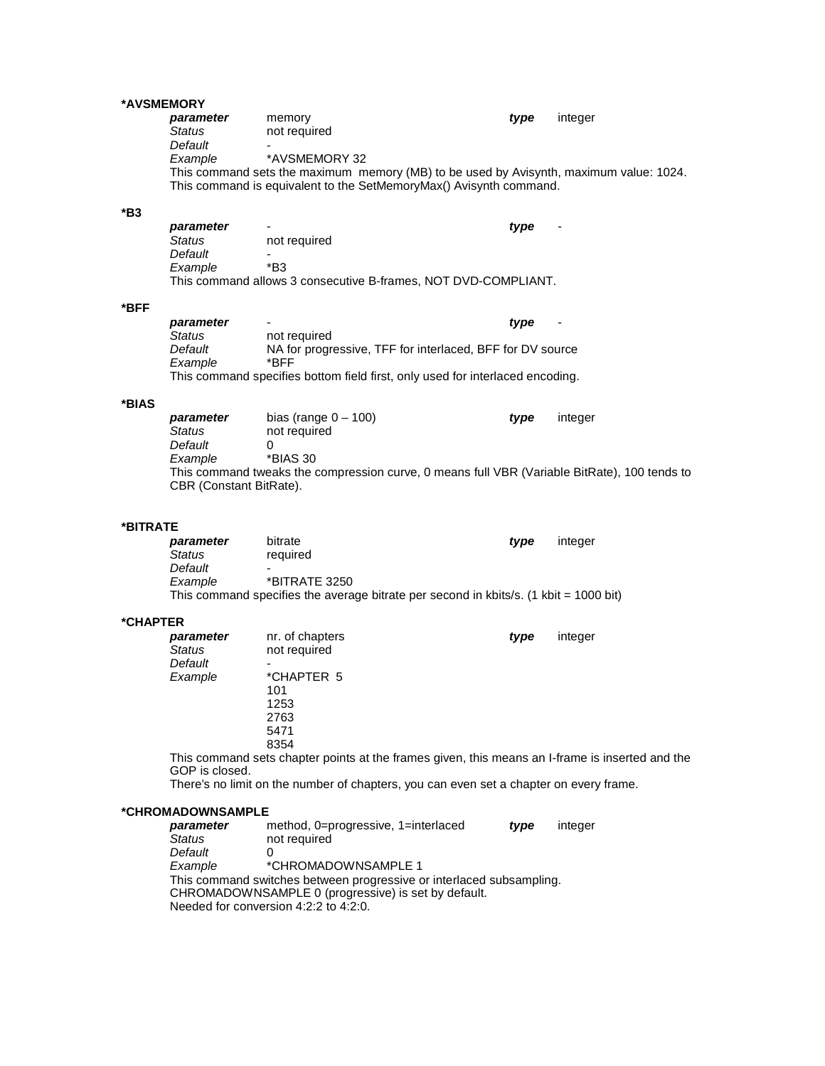### **\*AVSMEMORY**

| parameter | memory                                                                                 | tvpe | integer |
|-----------|----------------------------------------------------------------------------------------|------|---------|
| Status    | not required                                                                           |      |         |
| Default   |                                                                                        |      |         |
| Example   | *AVSMEMORY 32                                                                          |      |         |
|           | This command sets the maximum memory (MB) to be used by Avisynth, maximum value: 1024. |      |         |
|           | This command is equivalent to the SetMemoryMax() Avisynth command.                     |      |         |
|           |                                                                                        |      |         |

### **\*B3**

| parameter     |                                                                | tvpe<br>$\overline{\phantom{0}}$ |
|---------------|----------------------------------------------------------------|----------------------------------|
| <b>Status</b> | not required                                                   |                                  |
| Default       |                                                                |                                  |
| Example       | *B3                                                            |                                  |
|               | This command allows 3 consecutive B-frames, NOT DVD-COMPLIANT. |                                  |

### **\*BFF**

| parameter | ٠                                                                             | tvpe | $\overline{\phantom{a}}$ |
|-----------|-------------------------------------------------------------------------------|------|--------------------------|
| Status    | not required                                                                  |      |                          |
| Default   | NA for progressive, TFF for interlaced, BFF for DV source                     |      |                          |
| Example   | *RFF                                                                          |      |                          |
|           | This command specifies bottom field first, only used for interlaced encoding. |      |                          |

### **\*BIAS**

| parameter                      | bias (range $0 - 100$ )                                                                      | tvpe | integer |  |
|--------------------------------|----------------------------------------------------------------------------------------------|------|---------|--|
| Status                         | not required                                                                                 |      |         |  |
| Default                        |                                                                                              |      |         |  |
| Example                        | *BIAS 30                                                                                     |      |         |  |
|                                | This command tweaks the compression curve, 0 means full VBR (Variable BitRate), 100 tends to |      |         |  |
| <b>CBR</b> (Constant BitRate). |                                                                                              |      |         |  |

### **\*BITRATE**

| parameter | bitrate                                                                               | tvpe | integer |
|-----------|---------------------------------------------------------------------------------------|------|---------|
| Status    | required                                                                              |      |         |
| Default   | -                                                                                     |      |         |
| Example   | *BITRATE 3250                                                                         |      |         |
|           | This command specifies the average bitrate per second in kbits/s. (1 kbit = 1000 bit) |      |         |

### **\*CHAPTER**

| parameter     | nr. of chapters | type | integer |
|---------------|-----------------|------|---------|
| <b>Status</b> | not required    |      |         |
| Default       | -               |      |         |
| Example       | *CHAPTER 5      |      |         |
|               | 101             |      |         |
|               | 1253            |      |         |
|               | 2763            |      |         |
|               | 5471            |      |         |
|               | 8354            |      |         |

This command sets chapter points at the frames given, this means an I-frame is inserted and the GOP is closed.

There's no limit on the number of chapters, you can even set a chapter on every frame.

### **\*CHROMADOWNSAMPLE**

| parameter | method, 0=progressive, 1=interlaced                                  | type | integer |
|-----------|----------------------------------------------------------------------|------|---------|
| Status    | not required                                                         |      |         |
| Default   |                                                                      |      |         |
| Example   | *CHROMADOWNSAMPLE 1                                                  |      |         |
|           | This command switches between progressive or interlaced subsampling. |      |         |
|           | CHROMADOWNSAMPLE 0 (progressive) is set by default.                  |      |         |
|           | Needed for conversion 4:2:2 to 4:2:0.                                |      |         |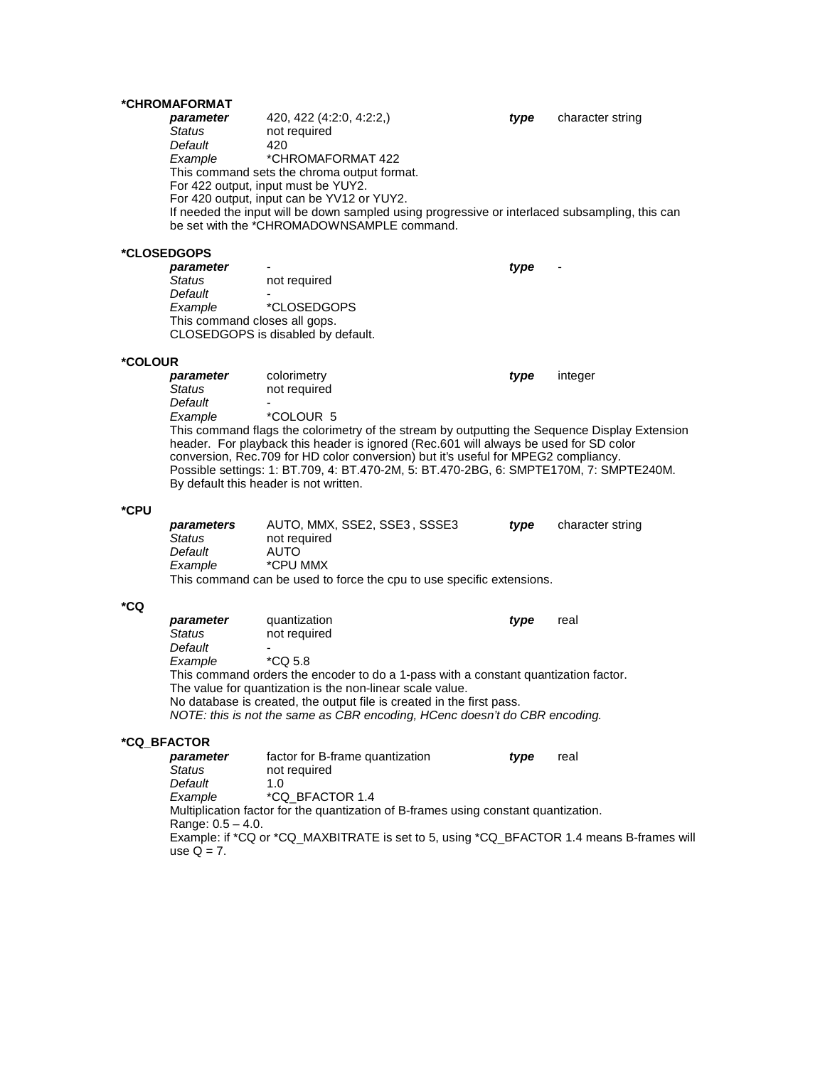# **\*CHROMAFORMAT**

*parameter* 420, 422 (4:2:0, 4:2:2,) *type* character string not required<br>420 *Default*<br>Example *Example* \*CHROMAFORMAT 422 This command sets the chroma output format. For 422 output, input must be YUY2. For 420 output, input can be YV12 or YUY2. If needed the input will be down sampled using progressive or interlaced subsampling, this can be set with the \*CHROMADOWNSAMPLE command.

### **\*CLOSEDGOPS**

*parameter* - *type* not required *Default*<br>Example *Example* \*CLOSEDGOPS This command closes all gops. CLOSEDGOPS is disabled by default.

**\*COLOUR** *parameter* colorimetry *type* integer *Status* not required **Default**<br>Example *Example* \*COLOUR 5 This command flags the colorimetry of the stream by outputting the Sequence Display Extension header. For playback this header is ignored (Rec.601 will always be used for SD color conversion, Rec.709 for HD color conversion) but it's useful for MPEG2 compliancy. Possible settings: 1: BT.709, 4: BT.470-2M, 5: BT.470-2BG, 6: SMPTE170M, 7: SMPTE240M. By default this header is not written.

### **\*CPU**

| parameters | AUTO, MMX, SSE2, SSE3, SSSE3                                          | tvpe | character string |
|------------|-----------------------------------------------------------------------|------|------------------|
| Status     | not required                                                          |      |                  |
| Default    | AUTO                                                                  |      |                  |
| Example    | *CPU MMX                                                              |      |                  |
|            | This command can be used to force the cpu to use specific extensions. |      |                  |

### **\*CQ**

| parameter                                                                           | quantization                                                               | tvpe | real |  |  |  |
|-------------------------------------------------------------------------------------|----------------------------------------------------------------------------|------|------|--|--|--|
| Status                                                                              | not required                                                               |      |      |  |  |  |
| Default                                                                             |                                                                            |      |      |  |  |  |
| Example                                                                             | $*CO5.8$                                                                   |      |      |  |  |  |
| This command orders the encoder to do a 1-pass with a constant quantization factor. |                                                                            |      |      |  |  |  |
| The value for quantization is the non-linear scale value.                           |                                                                            |      |      |  |  |  |
|                                                                                     | No database is created, the output file is created in the first pass.      |      |      |  |  |  |
|                                                                                     | NOTE: this is not the same as CBR encoding, HCenc doesn't do CBR encoding. |      |      |  |  |  |

### **\*CQ\_BFACTOR**

| parameter            | factor for B-frame quantization                                                          | tvpe | real |
|----------------------|------------------------------------------------------------------------------------------|------|------|
| Status               | not required                                                                             |      |      |
| Default              | 1. $\Omega$                                                                              |      |      |
| Example              | *CQ BFACTOR 1.4                                                                          |      |      |
|                      | Multiplication factor for the quantization of B-frames using constant quantization.      |      |      |
| Range: $0.5 - 4.0$ . |                                                                                          |      |      |
| use $Q = 7$ .        | Example: if *CQ or *CQ_MAXBITRATE is set to 5, using *CQ_BFACTOR 1.4 means B-frames will |      |      |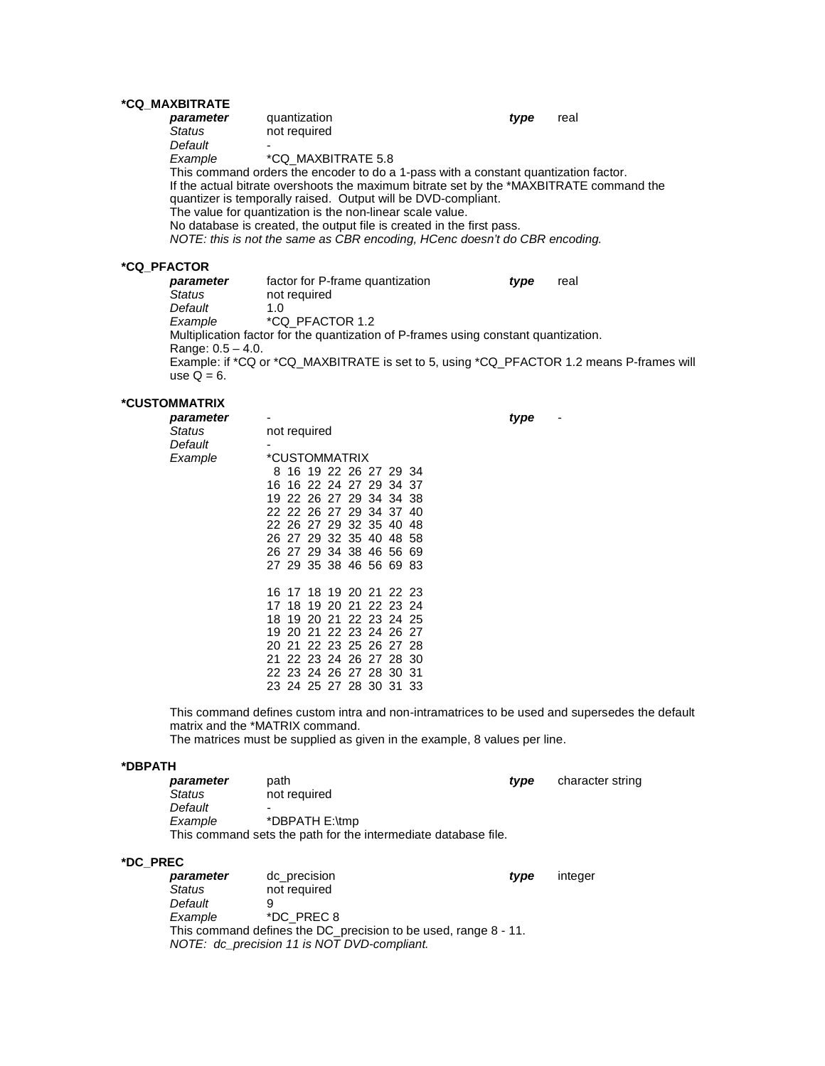### **\*CQ\_MAXBITRATE**

| quantization                                                  | real                                                                                                                                                                                                                                                                                                                                          |
|---------------------------------------------------------------|-----------------------------------------------------------------------------------------------------------------------------------------------------------------------------------------------------------------------------------------------------------------------------------------------------------------------------------------------|
| not required                                                  |                                                                                                                                                                                                                                                                                                                                               |
|                                                               |                                                                                                                                                                                                                                                                                                                                               |
| *CQ MAXBITRATE 5.8                                            |                                                                                                                                                                                                                                                                                                                                               |
|                                                               |                                                                                                                                                                                                                                                                                                                                               |
|                                                               |                                                                                                                                                                                                                                                                                                                                               |
| quantizer is temporally raised. Output will be DVD-compliant. |                                                                                                                                                                                                                                                                                                                                               |
| The value for quantization is the non-linear scale value.     |                                                                                                                                                                                                                                                                                                                                               |
|                                                               |                                                                                                                                                                                                                                                                                                                                               |
|                                                               |                                                                                                                                                                                                                                                                                                                                               |
|                                                               | type<br>This command orders the encoder to do a 1-pass with a constant quantization factor.<br>If the actual bitrate overshoots the maximum bitrate set by the *MAXBITRATE command the<br>No database is created, the output file is created in the first pass.<br>NOTE: this is not the same as CBR encoding, HCenc doesn't do CBR encoding. |

# **\*CQ\_PFACTOR**

*parameter* factor for P-frame quantization *type* real not required<br>1.0 *Default*<br>Example *Example* \*CQ\_PFACTOR 1.2 Multiplication factor for the quantization of P-frames using constant quantization. Range: 0.5 – 4.0. Example: if \*CQ or \*CQ\_MAXBITRATE is set to 5, using \*CQ\_PFACTOR 1.2 means P-frames will use  $Q = 6$ .

### **\*CUSTOMMATRIX**

| parameter |                         | type |
|-----------|-------------------------|------|
| Status    | not required            |      |
| Default   |                         |      |
| Example   | *CUSTOMMATRIX           |      |
|           | 8 16 19 22 26 27 29 34  |      |
|           | 16 16 22 24 27 29 34 37 |      |
|           | 19 22 26 27 29 34 34 38 |      |
|           | 22 22 26 27 29 34 37 40 |      |
|           | 22 26 27 29 32 35 40 48 |      |
|           | 26 27 29 32 35 40 48 58 |      |
|           | 26 27 29 34 38 46 56 69 |      |
|           | 27 29 35 38 46 56 69 83 |      |
|           |                         |      |
|           | 16 17 18 19 20 21 22 23 |      |
|           | 17 18 19 20 21 22 23 24 |      |
|           | 18 19 20 21 22 23 24 25 |      |
|           | 19 20 21 22 23 24 26 27 |      |
|           | 20 21 22 23 25 26 27 28 |      |
|           |                         |      |
|           | 21 22 23 24 26 27 28 30 |      |
|           | 22 23 24 26 27 28 30 31 |      |
|           | 23 24 25 27 28 30 31 33 |      |
|           |                         |      |

This command defines custom intra and non-intramatrices to be used and supersedes the default matrix and the \*MATRIX command.

The matrices must be supplied as given in the example, 8 values per line.

### **\*DBPATH**

| parameter     | path                                                           | tvpe | character string |
|---------------|----------------------------------------------------------------|------|------------------|
| <b>Status</b> | not required                                                   |      |                  |
| Default       | -                                                              |      |                  |
| Example       | *DBPATH E:\tmp                                                 |      |                  |
|               | This command sets the path for the intermediate database file. |      |                  |

### **\*DC\_PREC**

| parameter                                                       | dc precision                                | tvpe | integer |  |  |
|-----------------------------------------------------------------|---------------------------------------------|------|---------|--|--|
| Status                                                          | not required                                |      |         |  |  |
| Default                                                         |                                             |      |         |  |  |
| Example                                                         | *DC PREC 8                                  |      |         |  |  |
| This command defines the DC_precision to be used, range 8 - 11. |                                             |      |         |  |  |
|                                                                 | NOTE: dc_precision 11 is NOT DVD-compliant. |      |         |  |  |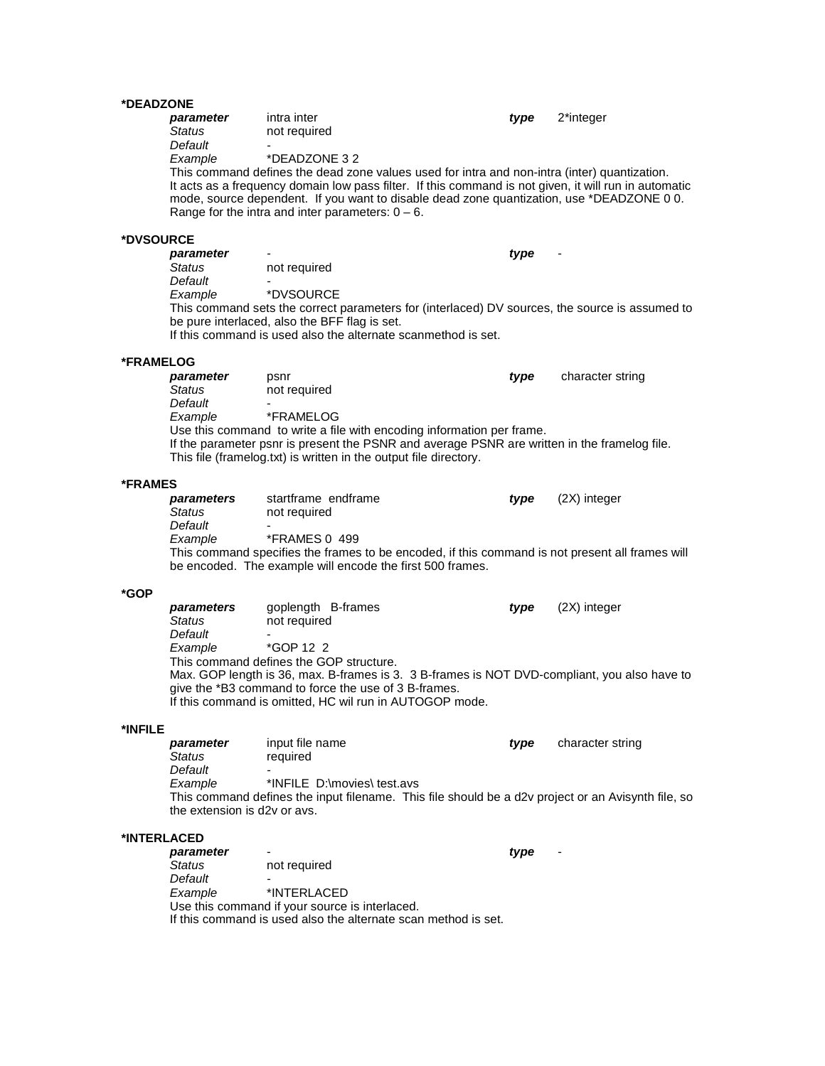### **\*DEADZONE**

|             | parameter<br><b>Status</b><br>Default<br>Example                          | intra inter<br>not required<br>*DEADZONE 32<br>This command defines the dead zone values used for intra and non-intra (inter) quantization.<br>It acts as a frequency domain low pass filter. If this command is not given, it will run in automatic<br>mode, source dependent. If you want to disable dead zone quantization, use *DEADZONE 0 0.<br>Range for the intra and inter parameters: $0 - 6$ . | type | 2*integer        |
|-------------|---------------------------------------------------------------------------|----------------------------------------------------------------------------------------------------------------------------------------------------------------------------------------------------------------------------------------------------------------------------------------------------------------------------------------------------------------------------------------------------------|------|------------------|
| *DVSOURCE   |                                                                           |                                                                                                                                                                                                                                                                                                                                                                                                          |      |                  |
|             | parameter<br>Status<br>Default<br>Example                                 | not required<br>*DVSOURCE<br>This command sets the correct parameters for (interlaced) DV sources, the source is assumed to<br>be pure interlaced, also the BFF flag is set.<br>If this command is used also the alternate scanmethod is set.                                                                                                                                                            | type |                  |
| *FRAMELOG   |                                                                           |                                                                                                                                                                                                                                                                                                                                                                                                          |      |                  |
|             | parameter<br><b>Status</b><br>Default<br>Example                          | psnr<br>not required<br>*FRAMELOG<br>Use this command to write a file with encoding information per frame.<br>If the parameter psnr is present the PSNR and average PSNR are written in the framelog file.<br>This file (framelog.txt) is written in the output file directory.                                                                                                                          | type | character string |
| *FRAMES     |                                                                           |                                                                                                                                                                                                                                                                                                                                                                                                          |      |                  |
|             | parameters<br><b>Status</b><br>Default<br>Example                         | startframe endframe<br>not required<br><b>*FRAMES 0 499</b><br>This command specifies the frames to be encoded, if this command is not present all frames will<br>be encoded. The example will encode the first 500 frames.                                                                                                                                                                              | type | (2X) integer     |
| *GOP        |                                                                           |                                                                                                                                                                                                                                                                                                                                                                                                          |      |                  |
|             | parameters<br>Status<br>Default<br>Example                                | goplength B-frames<br>not required<br>*GOP 12 2<br>This command defines the GOP structure.<br>Max. GOP length is 36, max. B-frames is 3. 3 B-frames is NOT DVD-compliant, you also have to<br>give the *B3 command to force the use of 3 B-frames.<br>If this command is omitted, HC wil run in AUTOGOP mode.                                                                                            | type | (2X) integer     |
| *INFILE     |                                                                           |                                                                                                                                                                                                                                                                                                                                                                                                          |      |                  |
|             | parameter<br>Status<br>Default<br>Example<br>the extension is d2y or ays. | input file name<br>required<br>*INFILE D:\movies\ test.avs<br>This command defines the input filename. This file should be a d2v project or an Avisynth file, so                                                                                                                                                                                                                                         | type | character string |
| *INTERLACED |                                                                           |                                                                                                                                                                                                                                                                                                                                                                                                          |      |                  |
|             | parameter<br>Status<br>Default<br>Example                                 | not required<br>*INTERLACED<br>Use this command if your source is interlaced.<br>If this command is used also the alternate scan method is set.                                                                                                                                                                                                                                                          | type |                  |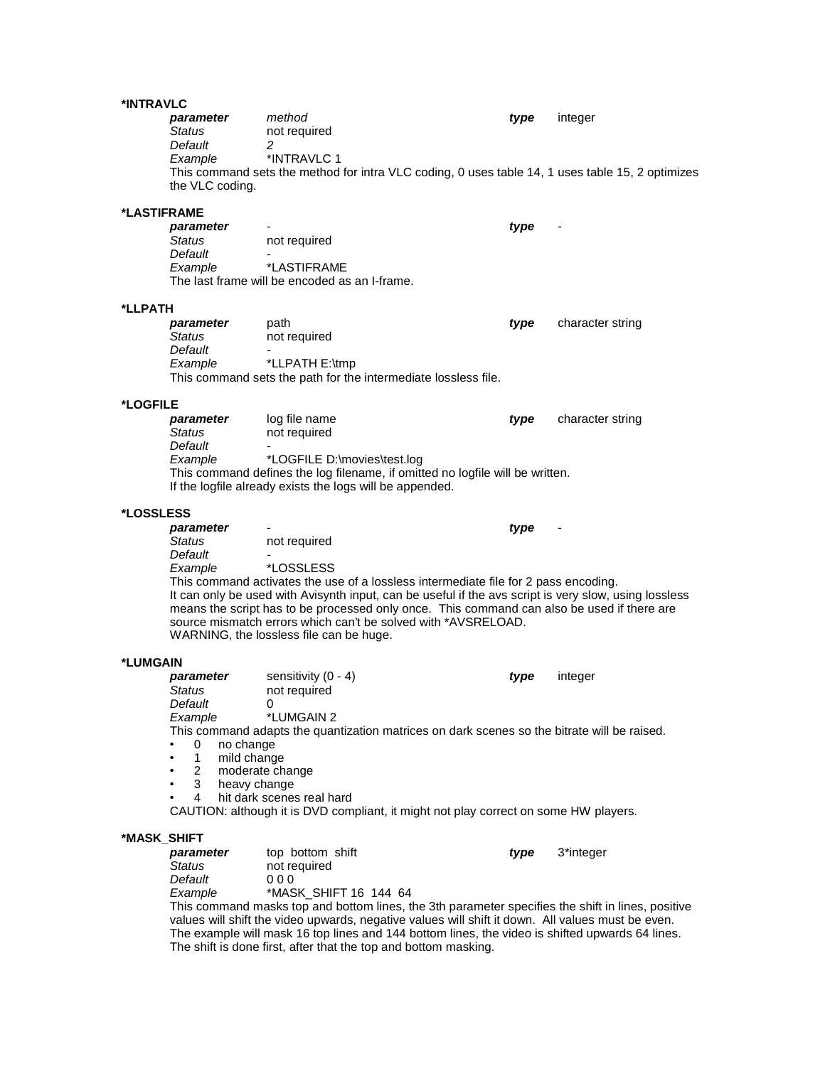### **\*INT**

| *INTRAVLC   |                                                                                                                |                                                                                                                                                                                                                                                                                                                                                                                                                                                   |      |                  |
|-------------|----------------------------------------------------------------------------------------------------------------|---------------------------------------------------------------------------------------------------------------------------------------------------------------------------------------------------------------------------------------------------------------------------------------------------------------------------------------------------------------------------------------------------------------------------------------------------|------|------------------|
|             | parameter<br>Status<br>Default<br>Example                                                                      | method<br>not required<br>2<br>*INTRAVLC 1<br>This command sets the method for intra VLC coding, 0 uses table 14, 1 uses table 15, 2 optimizes                                                                                                                                                                                                                                                                                                    | type | integer          |
|             | the VLC coding.                                                                                                |                                                                                                                                                                                                                                                                                                                                                                                                                                                   |      |                  |
| *LASTIFRAME |                                                                                                                |                                                                                                                                                                                                                                                                                                                                                                                                                                                   |      |                  |
|             | parameter<br>Status<br>Default<br>Example                                                                      | not required<br>*LASTIFRAME<br>The last frame will be encoded as an I-frame.                                                                                                                                                                                                                                                                                                                                                                      | type |                  |
| *LLPATH     |                                                                                                                |                                                                                                                                                                                                                                                                                                                                                                                                                                                   |      |                  |
|             | parameter<br>Status<br>Default<br>Example                                                                      | path<br>not required<br>*LLPATH E:\tmp<br>This command sets the path for the intermediate lossless file.                                                                                                                                                                                                                                                                                                                                          | type | character string |
| *LOGFILE    |                                                                                                                |                                                                                                                                                                                                                                                                                                                                                                                                                                                   |      |                  |
|             | parameter<br>Status<br>Default                                                                                 | log file name<br>not required                                                                                                                                                                                                                                                                                                                                                                                                                     | type | character string |
|             | Example                                                                                                        | *LOGFILE D:\movies\test.log<br>This command defines the log filename, if omitted no logfile will be written.<br>If the logfile already exists the logs will be appended.                                                                                                                                                                                                                                                                          |      |                  |
| *LOSSLESS   |                                                                                                                |                                                                                                                                                                                                                                                                                                                                                                                                                                                   |      |                  |
|             | parameter<br>Status<br>Default<br>Example                                                                      | not required<br><i><b>*LOSSLESS</b></i><br>This command activates the use of a lossless intermediate file for 2 pass encoding.<br>It can only be used with Avisynth input, can be useful if the avs script is very slow, using lossless<br>means the script has to be processed only once. This command can also be used if there are<br>source mismatch errors which can't be solved with *AVSRELOAD.<br>WARNING, the lossless file can be huge. | type |                  |
| *LUMGAIN    |                                                                                                                |                                                                                                                                                                                                                                                                                                                                                                                                                                                   |      |                  |
|             | parameter<br>Status<br>Default<br>Example<br>no change<br>0<br>1<br>mild change<br>2<br>3<br>heavy change<br>4 | sensitivity $(0 - 4)$<br>not required<br>0<br>*LUMGAIN 2<br>This command adapts the quantization matrices on dark scenes so the bitrate will be raised.<br>moderate change<br>hit dark scenes real hard<br>CAUTION: although it is DVD compliant, it might not play correct on some HW players.                                                                                                                                                   | type | integer          |
| *MASK_SHIFT | parameter<br>Status<br>Default<br>Example                                                                      | top bottom shift<br>not required<br>000<br>*MASK_SHIFT 16 144 64<br>This command masks top and bottom lines, the 3th parameter specifies the shift in lines, positive<br>uglues will shift the video unwards, neastive values will shift it down. All values must be even                                                                                                                                                                         | type | 3*integer        |

values will shift the video upwards, negative values will shift it down. All values must be even. The example will mask 16 top lines and 144 bottom lines, the video is shifted upwards 64 lines. The shift is done first, after that the top and bottom masking.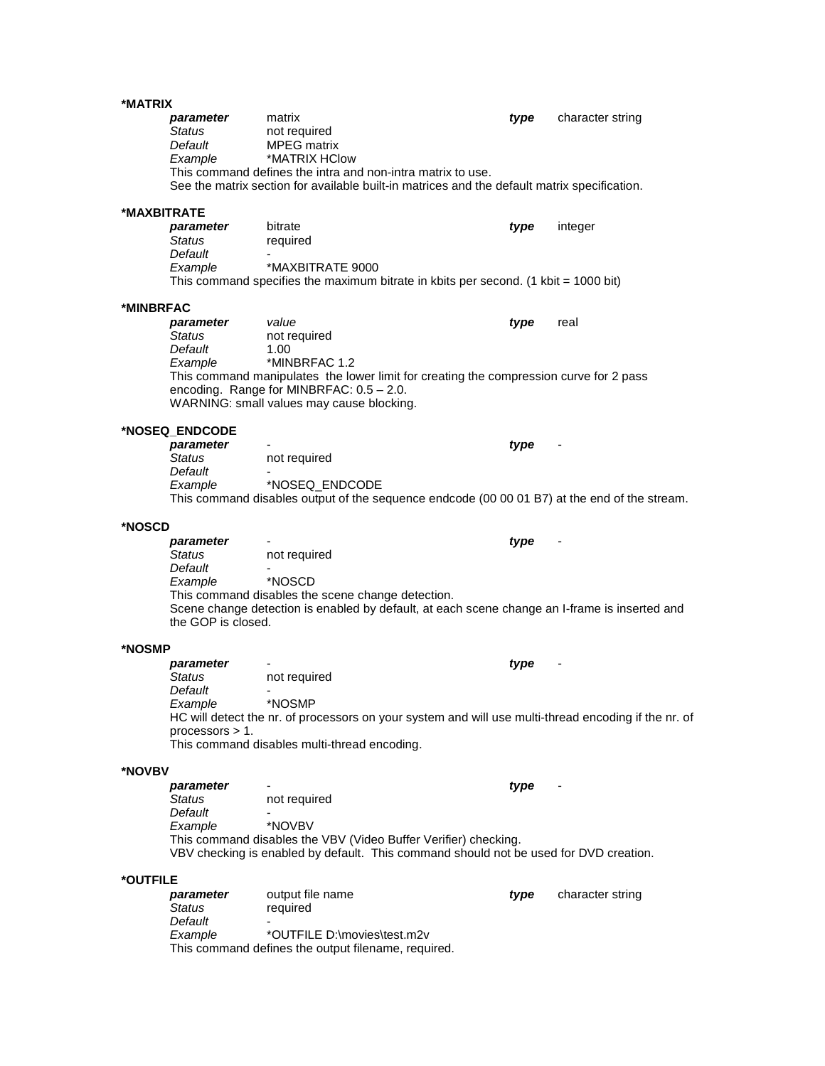| *MATRIX     |                    |                                                                                                      |      |                  |
|-------------|--------------------|------------------------------------------------------------------------------------------------------|------|------------------|
|             | parameter          | matrix                                                                                               | type | character string |
|             | <b>Status</b>      | not required                                                                                         |      |                  |
|             | Default            | <b>MPEG</b> matrix                                                                                   |      |                  |
|             | Example            | *MATRIX HClow                                                                                        |      |                  |
|             |                    | This command defines the intra and non-intra matrix to use.                                          |      |                  |
|             |                    | See the matrix section for available built-in matrices and the default matrix specification.         |      |                  |
|             |                    |                                                                                                      |      |                  |
| *MAXBITRATE |                    |                                                                                                      |      |                  |
|             | parameter          | bitrate                                                                                              | type | integer          |
|             | Status             | required                                                                                             |      |                  |
|             | Default            |                                                                                                      |      |                  |
|             | Example            | *MAXBITRATE 9000                                                                                     |      |                  |
|             |                    | This command specifies the maximum bitrate in kbits per second. (1 kbit = $1000$ bit)                |      |                  |
|             |                    |                                                                                                      |      |                  |
| *MINBRFAC   |                    |                                                                                                      |      |                  |
|             | parameter          | value                                                                                                | type | real             |
|             | Status             | not required                                                                                         |      |                  |
|             | Default            | 1.00<br>*MINBRFAC 1.2                                                                                |      |                  |
|             | Example            | This command manipulates the lower limit for creating the compression curve for 2 pass               |      |                  |
|             |                    | encoding. Range for MINBRFAC: 0.5 - 2.0.                                                             |      |                  |
|             |                    | WARNING: small values may cause blocking.                                                            |      |                  |
|             |                    |                                                                                                      |      |                  |
|             | *NOSEQ_ENDCODE     |                                                                                                      |      |                  |
|             | parameter          |                                                                                                      | type |                  |
|             | Status             | not required                                                                                         |      |                  |
|             | Default            |                                                                                                      |      |                  |
|             | Example            | *NOSEQ_ENDCODE                                                                                       |      |                  |
|             |                    | This command disables output of the sequence endcode (00 00 01 B7) at the end of the stream.         |      |                  |
|             |                    |                                                                                                      |      |                  |
| *NOSCD      |                    |                                                                                                      |      |                  |
|             |                    |                                                                                                      |      |                  |
|             | parameter          |                                                                                                      | type |                  |
|             | Status             | not required                                                                                         |      |                  |
|             | Default            |                                                                                                      |      |                  |
|             | Example            | *NOSCD                                                                                               |      |                  |
|             |                    | This command disables the scene change detection.                                                    |      |                  |
|             |                    | Scene change detection is enabled by default, at each scene change an I-frame is inserted and        |      |                  |
|             | the GOP is closed. |                                                                                                      |      |                  |
|             |                    |                                                                                                      |      |                  |
| *NOSMP      |                    |                                                                                                      |      |                  |
|             | parameter          |                                                                                                      | type |                  |
|             | Status             | not required                                                                                         |      |                  |
|             | Default            |                                                                                                      |      |                  |
|             | Example            | *NOSMP                                                                                               |      |                  |
|             |                    | HC will detect the nr. of processors on your system and will use multi-thread encoding if the nr. of |      |                  |
|             | processors > 1.    |                                                                                                      |      |                  |
|             |                    | This command disables multi-thread encoding.                                                         |      |                  |
| *NOVBV      |                    |                                                                                                      |      |                  |
|             | parameter          |                                                                                                      | type |                  |
|             | Status             | not required                                                                                         |      |                  |
|             | Default            |                                                                                                      |      |                  |
|             | Example            | *NOVBV                                                                                               |      |                  |
|             |                    | This command disables the VBV (Video Buffer Verifier) checking.                                      |      |                  |
|             |                    | VBV checking is enabled by default. This command should not be used for DVD creation.                |      |                  |
|             |                    |                                                                                                      |      |                  |
| *OUTFILE    |                    |                                                                                                      |      |                  |
|             | parameter          | output file name                                                                                     | type | character string |
|             | Status             | required                                                                                             |      |                  |
|             | Default            |                                                                                                      |      |                  |
|             | Example            | *OUTFILE D:\movies\test.m2v<br>This command defines the output filename, required.                   |      |                  |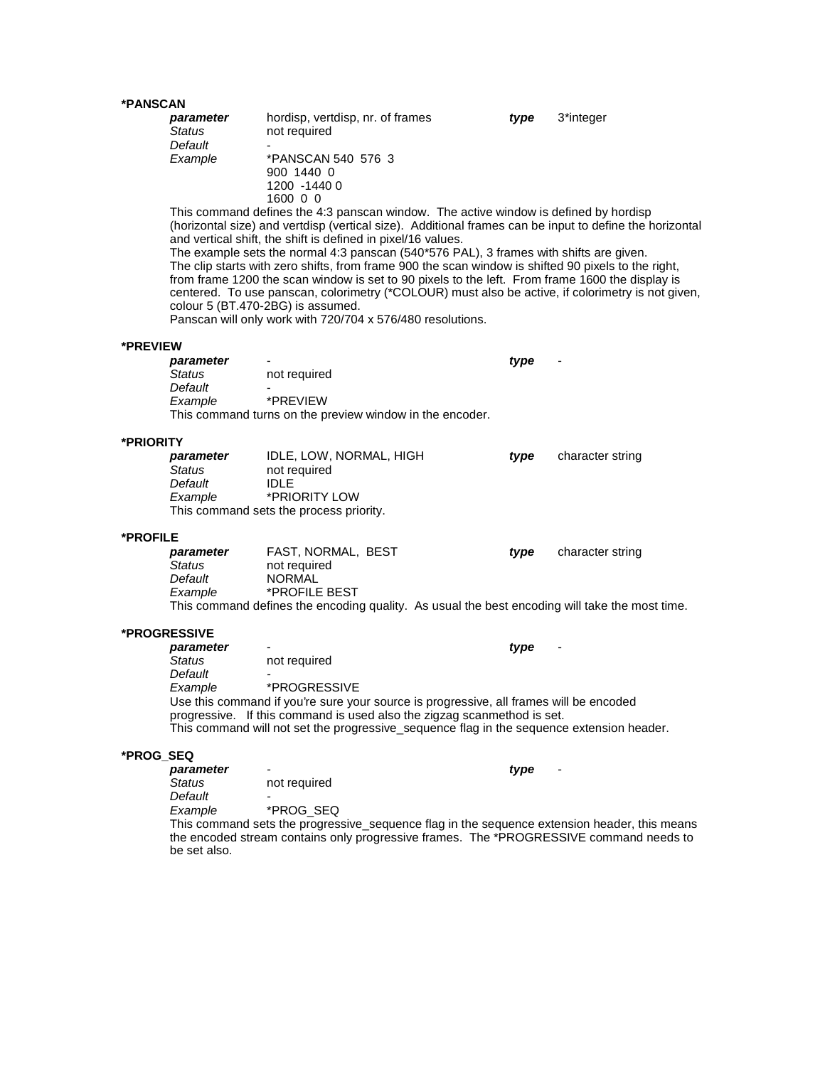# **\*PANSCAN**

| *PANSCAN  |                                                  |                                                                                                                                                                                                                                                                                                                                                                                                                                                                                                                                                                                                                                                                                                                                                                             |      |                  |
|-----------|--------------------------------------------------|-----------------------------------------------------------------------------------------------------------------------------------------------------------------------------------------------------------------------------------------------------------------------------------------------------------------------------------------------------------------------------------------------------------------------------------------------------------------------------------------------------------------------------------------------------------------------------------------------------------------------------------------------------------------------------------------------------------------------------------------------------------------------------|------|------------------|
|           | parameter<br><b>Status</b><br>Default            | hordisp, vertdisp, nr. of frames<br>not required                                                                                                                                                                                                                                                                                                                                                                                                                                                                                                                                                                                                                                                                                                                            | type | 3*integer        |
|           | Example                                          | *PANSCAN 540 576 3<br>900 1440 0<br>1200 -1440 0<br>1600 0 0                                                                                                                                                                                                                                                                                                                                                                                                                                                                                                                                                                                                                                                                                                                |      |                  |
|           |                                                  | This command defines the 4:3 panscan window. The active window is defined by hordisp<br>(horizontal size) and vertdisp (vertical size). Additional frames can be input to define the horizontal<br>and vertical shift, the shift is defined in pixel/16 values.<br>The example sets the normal 4:3 panscan (540*576 PAL), 3 frames with shifts are given.<br>The clip starts with zero shifts, from frame 900 the scan window is shifted 90 pixels to the right,<br>from frame 1200 the scan window is set to 90 pixels to the left. From frame 1600 the display is<br>centered. To use panscan, colorimetry (*COLOUR) must also be active, if colorimetry is not given,<br>colour 5 (BT.470-2BG) is assumed.<br>Panscan will only work with 720/704 x 576/480 resolutions. |      |                  |
| *PREVIEW  |                                                  |                                                                                                                                                                                                                                                                                                                                                                                                                                                                                                                                                                                                                                                                                                                                                                             |      |                  |
|           | parameter<br><b>Status</b><br>Default<br>Example | not required<br>*PREVIEW<br>This command turns on the preview window in the encoder.                                                                                                                                                                                                                                                                                                                                                                                                                                                                                                                                                                                                                                                                                        | type |                  |
| *PRIORITY |                                                  |                                                                                                                                                                                                                                                                                                                                                                                                                                                                                                                                                                                                                                                                                                                                                                             |      |                  |
|           | parameter<br>Status<br>Default<br>Example        | IDLE, LOW, NORMAL, HIGH<br>not required<br><b>IDLE</b><br>*PRIORITY LOW<br>This command sets the process priority.                                                                                                                                                                                                                                                                                                                                                                                                                                                                                                                                                                                                                                                          | type | character string |
| *PROFILE  |                                                  |                                                                                                                                                                                                                                                                                                                                                                                                                                                                                                                                                                                                                                                                                                                                                                             |      |                  |
|           | parameter<br>Status<br>Default<br>Example        | FAST, NORMAL, BEST<br>not required<br><b>NORMAL</b><br>*PROFILE BEST<br>This command defines the encoding quality. As usual the best encoding will take the most time.                                                                                                                                                                                                                                                                                                                                                                                                                                                                                                                                                                                                      | type | character string |
|           | *PROGRESSIVE                                     |                                                                                                                                                                                                                                                                                                                                                                                                                                                                                                                                                                                                                                                                                                                                                                             |      |                  |
|           | parameter<br><b>Status</b><br>Default            | not required                                                                                                                                                                                                                                                                                                                                                                                                                                                                                                                                                                                                                                                                                                                                                                | type |                  |
|           | Example                                          | *PROGRESSIVE<br>Use this command if you're sure your source is progressive, all frames will be encoded<br>progressive. If this command is used also the zigzag scanmethod is set.<br>This command will not set the progressive_sequence flag in the sequence extension header.                                                                                                                                                                                                                                                                                                                                                                                                                                                                                              |      |                  |
| *PROG_SEQ |                                                  |                                                                                                                                                                                                                                                                                                                                                                                                                                                                                                                                                                                                                                                                                                                                                                             |      |                  |
|           | parameter<br>Status<br>Default                   | not required                                                                                                                                                                                                                                                                                                                                                                                                                                                                                                                                                                                                                                                                                                                                                                | type |                  |
|           | Example                                          | *PROG_SEQ<br>This command sets the progressive_sequence flag in the sequence extension header, this means<br>the encoded stream contains only progressive frames. The *PROGRESSIVE command needs to                                                                                                                                                                                                                                                                                                                                                                                                                                                                                                                                                                         |      |                  |

be set also.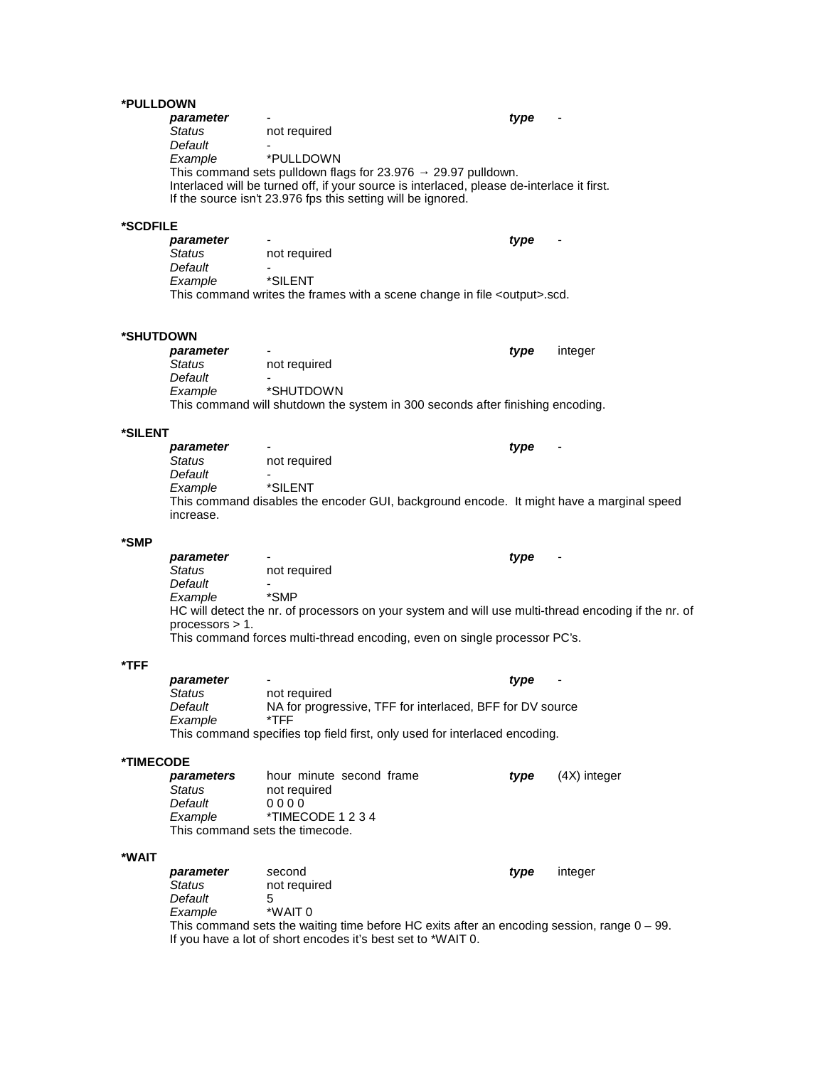### **\*PULLDOWN**

| parameter |                                                              | type                                                                                       |
|-----------|--------------------------------------------------------------|--------------------------------------------------------------------------------------------|
| Status    | not required                                                 |                                                                                            |
| Default   |                                                              |                                                                                            |
| Example   | *PULLDOWN                                                    |                                                                                            |
|           | This command sets pulldown flags for 23.976 29.97 pulldown.  |                                                                                            |
|           |                                                              | Interlaced will be turned off, if your source is interlaced, please de-interlace it first. |
|           | If the source isn't 23.976 fps this setting will be ignored. |                                                                                            |
|           |                                                              |                                                                                            |

### **\*SCDFILE**

| parameter     | $\overline{\phantom{0}}$                                                          | tvpe<br>$\blacksquare$ |
|---------------|-----------------------------------------------------------------------------------|------------------------|
| <b>Status</b> | not required                                                                      |                        |
| Default       | -                                                                                 |                        |
| Example       | *SILENT                                                                           |                        |
|               | This command writes the frames with a scene change in file <output>.scd.</output> |                        |

### **\*SHUTDOWN**

| parameter | -                                                                              | tvpe | integer |
|-----------|--------------------------------------------------------------------------------|------|---------|
| Status    | not required                                                                   |      |         |
| Default   | -                                                                              |      |         |
| Example   | *SHUTDOWN                                                                      |      |         |
|           | This command will shutdown the system in 300 seconds after finishing encoding. |      |         |

### **\*SILENT**

*parameter - type* - *Status* not required *Default -* Example This command disables the encoder GUI, background encode. It might have a marginal speed increase.

### **\*SMP**

*parameter* - *type* - *Status* not required *Default* -  $Example$ HC will detect the nr. of processors on your system and will use multi-thread encoding if the nr. of processors > 1. This command forces multi-thread encoding, even on single processor PC's.

### **\*TFF**

| parameter |              | tvpe                                                                       | $\overline{\phantom{a}}$ |
|-----------|--------------|----------------------------------------------------------------------------|--------------------------|
| Status    | not required |                                                                            |                          |
| Default   |              | NA for progressive, TFF for interlaced, BFF for DV source                  |                          |
| Example   | *TFF.        |                                                                            |                          |
|           |              | This command specifies top field first, only used for interlaced encoding. |                          |

### **\*TIMECODE**

| parameters | hour minute second frame        | tvpe | $(4X)$ integer |
|------------|---------------------------------|------|----------------|
| Status     | not required                    |      |                |
| Default    | 0000                            |      |                |
| Example    | *TIMECODE 1 2 3 4               |      |                |
|            | This command sets the timecode. |      |                |

### **\*WAIT**

| parameter | second                                                                                         | tvpe | integer |
|-----------|------------------------------------------------------------------------------------------------|------|---------|
| Status    | not required                                                                                   |      |         |
| Default   | h                                                                                              |      |         |
| Example   | *WAIT 0                                                                                        |      |         |
|           | This command sets the waiting time before HC exits after an encoding session, range $0 - 99$ . |      |         |
|           | If you have a lot of short encodes it's best set to *WAIT 0.                                   |      |         |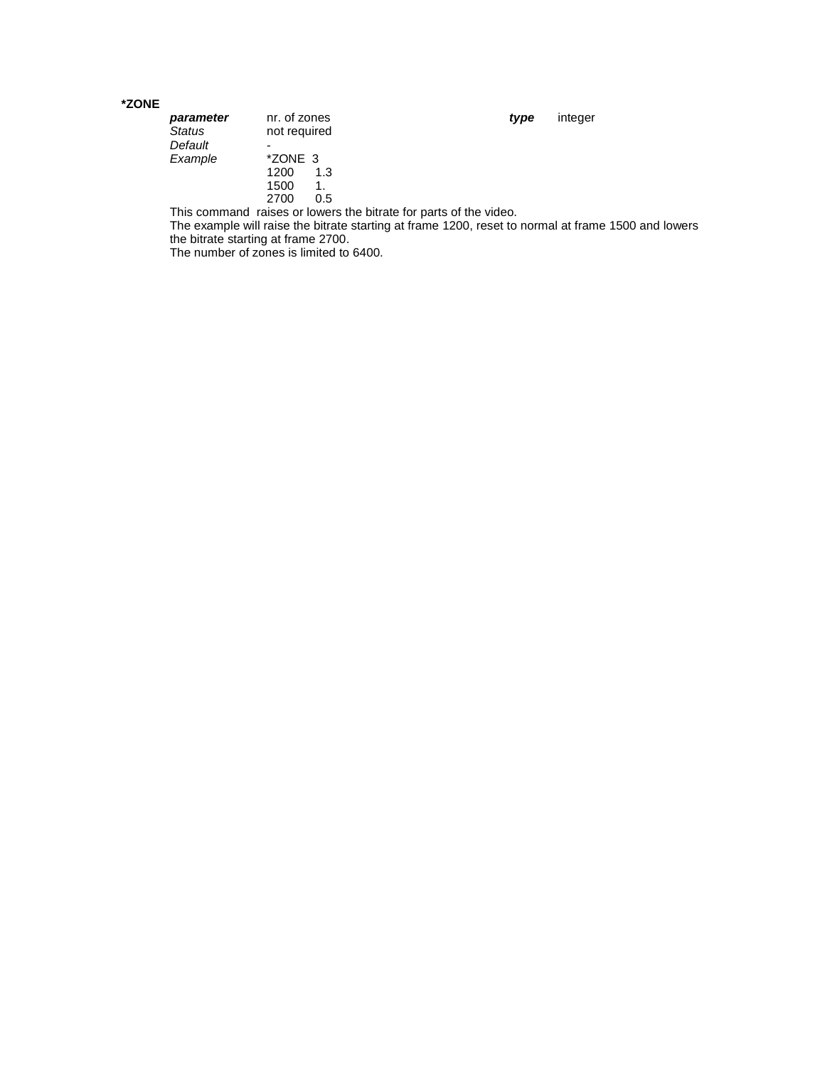### **\*ZONE**

| parameter | nr. of zones | type | integer |
|-----------|--------------|------|---------|
| Status    | not required |      |         |
| Default   | -            |      |         |
| Example   | *ZONE 3      |      |         |
|           | 1200<br>1.3  |      |         |
|           | 1500<br>1.   |      |         |
|           | 2700<br>0.5  |      |         |
|           |              |      |         |

This command raises or lowers the bitrate for parts of the video.

The example will raise the bitrate starting at frame 1200, reset to normal at frame 1500 and lowers the bitrate starting at frame 2700.

The number of zones is limited to 6400.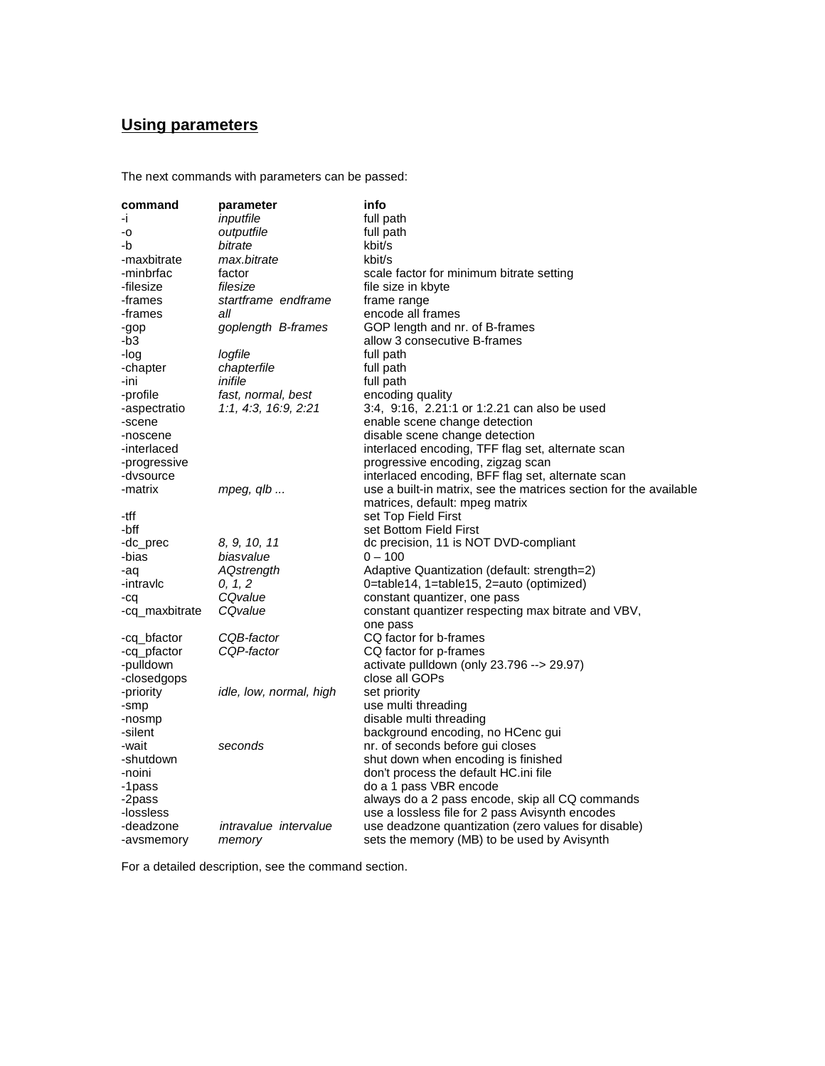# **Using parameters**

The next commands with parameters can be passed:

| command             | parameter                    | info                                                                                               |
|---------------------|------------------------------|----------------------------------------------------------------------------------------------------|
| ÷i.                 | inputfile                    | full path                                                                                          |
| -0                  | outputfile                   | full path                                                                                          |
| -b                  | bitrate                      | kbit/s                                                                                             |
| -maxbitrate         | max.bitrate                  | kbit/s                                                                                             |
| -minbrfac           | factor                       | scale factor for minimum bitrate setting                                                           |
| -filesize           | filesize                     | file size in kbyte                                                                                 |
| -frames             | startframe endframe          | frame range                                                                                        |
| -frames             | all                          | encode all frames                                                                                  |
| -gop                | goplength B-frames           | GOP length and nr. of B-frames                                                                     |
| -b3                 |                              | allow 3 consecutive B-frames                                                                       |
| -log                | logfile                      | full path                                                                                          |
| -chapter            | chapterfile                  | full path                                                                                          |
| -ini                | inifile                      | full path                                                                                          |
| -profile            | fast, normal, best           | encoding quality                                                                                   |
| -aspectratio        | 1:1, 4:3, 16:9, 2:21         | 3:4, 9:16, 2.21:1 or 1:2.21 can also be used                                                       |
| -scene              |                              | enable scene change detection                                                                      |
| -noscene            |                              | disable scene change detection                                                                     |
| -interlaced         |                              | interlaced encoding, TFF flag set, alternate scan                                                  |
| -progressive        |                              | progressive encoding, zigzag scan                                                                  |
| -dvsource           |                              | interlaced encoding, BFF flag set, alternate scan                                                  |
| -matrix             | mpeg, $q/b$                  | use a built-in matrix, see the matrices section for the available                                  |
|                     |                              | matrices, default: mpeg matrix                                                                     |
| -tff                |                              | set Top Field First                                                                                |
| -bff                |                              | set Bottom Field First                                                                             |
| -dc_prec            | 8, 9, 10, 11                 | dc precision, 11 is NOT DVD-compliant                                                              |
| -bias               | biasvalue                    | $0 - 100$                                                                                          |
| -aq                 | AQstrength                   | Adaptive Quantization (default: strength=2)                                                        |
| -intravlc           | 0, 1, 2                      | 0=table14, 1=table15, 2=auto (optimized)                                                           |
| -cq                 | CQvalue                      | constant quantizer, one pass                                                                       |
| -cq_maxbitrate      | CQvalue                      | constant quantizer respecting max bitrate and VBV,                                                 |
|                     |                              | one pass                                                                                           |
| -cq_bfactor         | CQB-factor                   | CQ factor for b-frames                                                                             |
| -cq_pfactor         | CQP-factor                   | CQ factor for p-frames                                                                             |
| -pulldown           |                              | activate pulldown (only 23.796 --> 29.97)                                                          |
| -closedgops         |                              | close all GOPs                                                                                     |
| -priority           | idle, low, normal, high      | set priority                                                                                       |
| -smp                |                              | use multi threading                                                                                |
| -nosmp              |                              | disable multi threading                                                                            |
| -silent             |                              | background encoding, no HCenc gui                                                                  |
| -wait               | seconds                      | nr. of seconds before gui closes                                                                   |
| -shutdown           |                              | shut down when encoding is finished                                                                |
| -noini              |                              | don't process the default HC.ini file                                                              |
| -1pass              |                              | do a 1 pass VBR encode                                                                             |
| -2pass<br>-lossless |                              | always do a 2 pass encode, skip all CQ commands<br>use a lossless file for 2 pass Avisynth encodes |
| -deadzone           | <i>intravalue intervalue</i> | use deadzone quantization (zero values for disable)                                                |
| -avsmemory          | memory                       | sets the memory (MB) to be used by Avisynth                                                        |
|                     |                              |                                                                                                    |

For a detailed description, see the command section.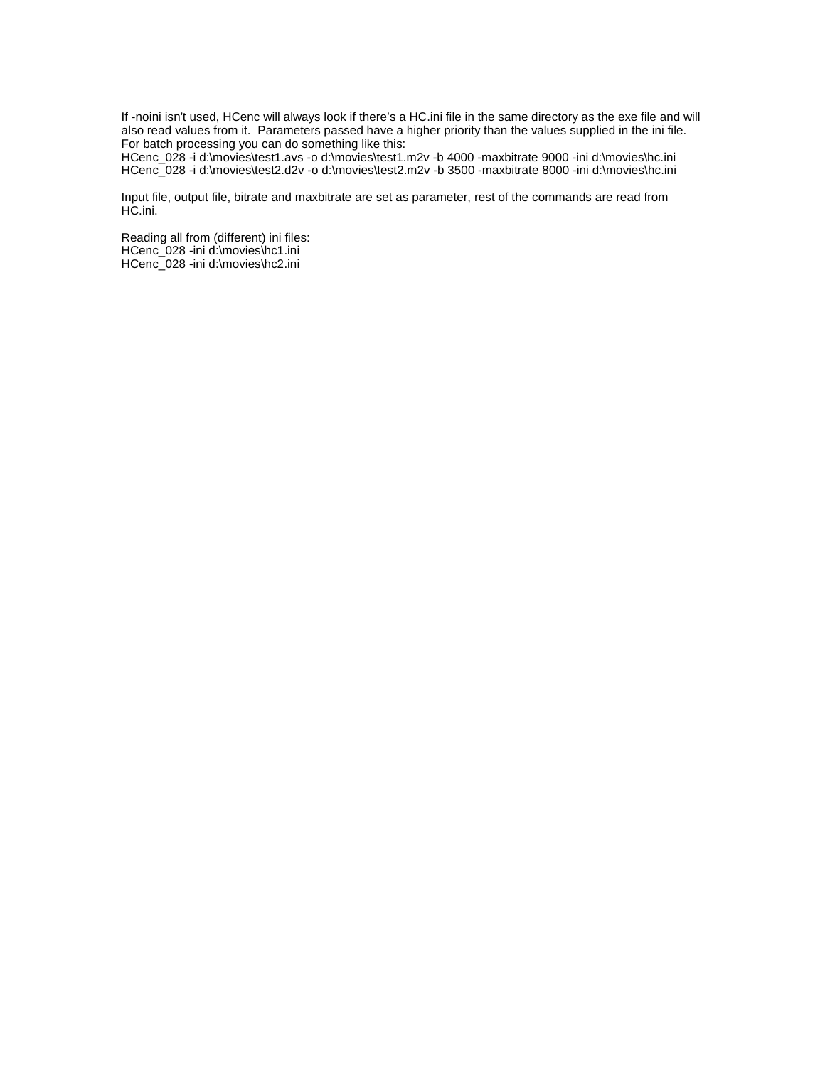If -noini isn't used, HCenc will always look if there's a HC.ini file in the same directory as the exe file and will also read values from it. Parameters passed have a higher priority than the values supplied in the ini file. For batch processing you can do something like this:

HCenc\_028 -i d:\movies\test1.avs -o d:\movies\test1.m2v -b 4000 -maxbitrate 9000 -ini d:\movies\hc.ini HCenc\_028 -i d:\movies\test2.d2v -o d:\movies\test2.m2v -b 3500 -maxbitrate 8000 -ini d:\movies\hc.ini

Input file, output file, bitrate and maxbitrate are set as parameter, rest of the commands are read from HC.ini.

Reading all from (different) ini files: HCenc\_028 -ini d:\movies\hc1.ini HCenc\_028 -ini d:\movies\hc2.ini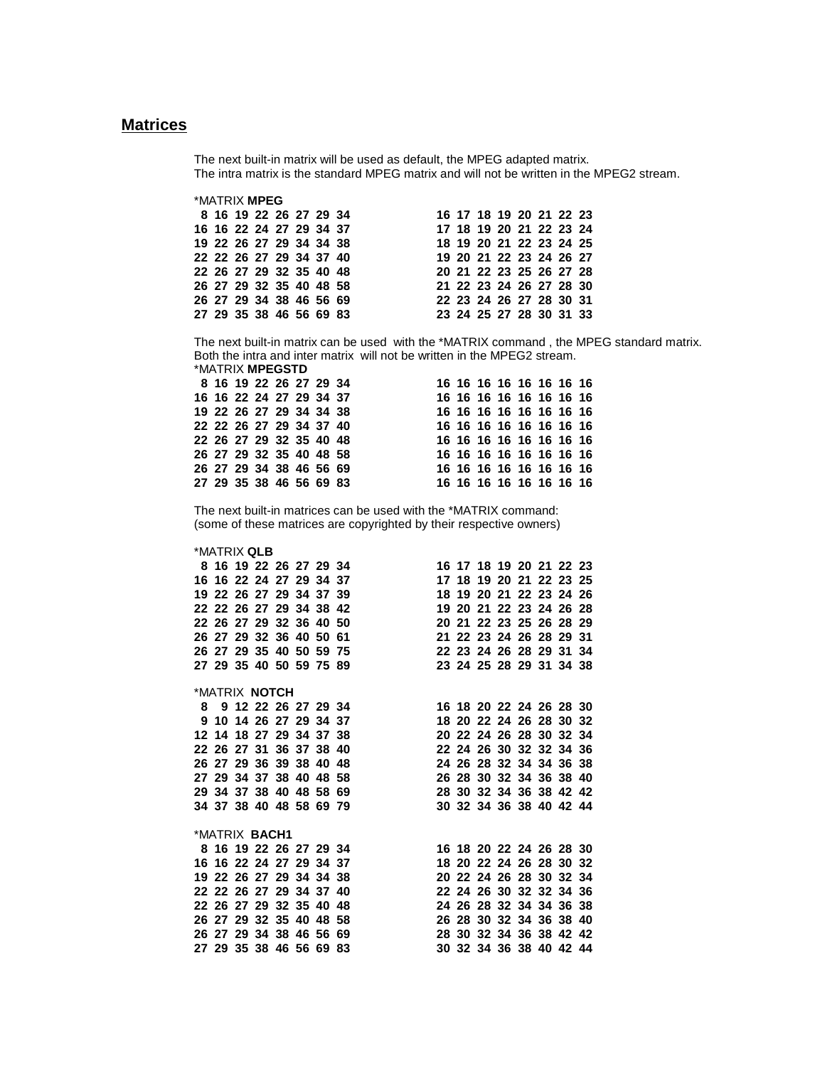# **Matrices**

The next built-in matrix will be used as default, the MPEG adapted matrix. The intra matrix is the standard MPEG matrix and will not be written in the MPEG2 stream.

| *MATRIX MPEG            |  |  |  |  |  |  |                         |  |
|-------------------------|--|--|--|--|--|--|-------------------------|--|
| 8 16 19 22 26 27 29 34  |  |  |  |  |  |  | 16 17 18 19 20 21 22 23 |  |
| 16 16 22 24 27 29 34 37 |  |  |  |  |  |  | 17 18 19 20 21 22 23 24 |  |
| 19 22 26 27 29 34 34 38 |  |  |  |  |  |  | 18 19 20 21 22 23 24 25 |  |
| 22 22 26 27 29 34 37 40 |  |  |  |  |  |  | 19 20 21 22 23 24 26 27 |  |
| 22 26 27 29 32 35 40 48 |  |  |  |  |  |  | 20 21 22 23 25 26 27 28 |  |
| 26 27 29 32 35 40 48 58 |  |  |  |  |  |  | 21 22 23 24 26 27 28 30 |  |
| 26 27 29 34 38 46 56 69 |  |  |  |  |  |  | 22 23 24 26 27 28 30 31 |  |
| 27 29 35 38 46 56 69 83 |  |  |  |  |  |  | 23 24 25 27 28 30 31 33 |  |

The next built-in matrix can be used with the \*MATRIX command , the MPEG standard matrix. Both the intra and inter matrix will not be written in the MPEG2 stream. \*MATRIX **MPEGSTD**

|  |  | 8 16 19 22 26 27 29 34  |  |  | 16 16 16 16 16 16 16 16 |  |  |  |
|--|--|-------------------------|--|--|-------------------------|--|--|--|
|  |  | 16 16 22 24 27 29 34 37 |  |  | 16 16 16 16 16 16 16 16 |  |  |  |
|  |  | 19 22 26 27 29 34 34 38 |  |  | 16 16 16 16 16 16 16 16 |  |  |  |
|  |  | 22 22 26 27 29 34 37 40 |  |  | 16 16 16 16 16 16 16 16 |  |  |  |
|  |  | 22 26 27 29 32 35 40 48 |  |  | 16 16 16 16 16 16 16 16 |  |  |  |
|  |  | 26 27 29 32 35 40 48 58 |  |  | 16 16 16 16 16 16 16 16 |  |  |  |
|  |  | 26 27 29 34 38 46 56 69 |  |  | 16 16 16 16 16 16 16 16 |  |  |  |
|  |  | 27 29 35 38 46 56 69 83 |  |  | 16 16 16 16 16 16 16 16 |  |  |  |

The next built-in matrices can be used with the \*MATRIX command: (some of these matrices are copyrighted by their respective owners)

### \*MATRIX **QLB**

|  |                       |  |  | 8 16 19 22 26 27 29 34                                                                                                  | 16 17 18 19 20 21 22 23 |                         |  |  |  |
|--|-----------------------|--|--|-------------------------------------------------------------------------------------------------------------------------|-------------------------|-------------------------|--|--|--|
|  |                       |  |  |                                                                                                                         |                         |                         |  |  |  |
|  |                       |  |  |                                                                                                                         |                         |                         |  |  |  |
|  |                       |  |  | 22 22 26 27 29 34 38 42 19 20 21 22 23 24 26 28                                                                         |                         |                         |  |  |  |
|  |                       |  |  |                                                                                                                         |                         |                         |  |  |  |
|  |                       |  |  |                                                                                                                         |                         |                         |  |  |  |
|  |                       |  |  | 26 27 29 35 40 50 59 75 22 23 24 26 28 29 31 34                                                                         |                         |                         |  |  |  |
|  |                       |  |  | 27 29 35 40 50 59 75 89 23 24 25 28 29 31 34 38                                                                         |                         |                         |  |  |  |
|  | *MATRIX <b>NOTCH</b>  |  |  |                                                                                                                         |                         |                         |  |  |  |
|  |                       |  |  | 8 9 12 22 26 27 29 34<br>9 10 14 26 27 29 34 37 18 20 22 24 26 28 30 32                                                 |                         |                         |  |  |  |
|  |                       |  |  |                                                                                                                         |                         |                         |  |  |  |
|  |                       |  |  | 12 14 18 27 29 34 37 38 20 22 24 26 28 30 32 34                                                                         |                         |                         |  |  |  |
|  |                       |  |  |                                                                                                                         |                         |                         |  |  |  |
|  |                       |  |  | 22 26 27 31 36 37 38 40<br>26 27 29 36 39 38 40 48<br>27 29 34 37 38 40 48 58 28 32 34 34 36 38 47 29 34 37 38 40 48 58 |                         |                         |  |  |  |
|  |                       |  |  |                                                                                                                         |                         |                         |  |  |  |
|  |                       |  |  | 29 34 37 38 40 48 58 69 28 30 32 34 36 38 42 42                                                                         |                         |                         |  |  |  |
|  |                       |  |  | 34 37 38 40 48 58 69 79 30 32 34 36 38 40 42 44                                                                         |                         |                         |  |  |  |
|  | *MATRIX B <b>ACH1</b> |  |  |                                                                                                                         |                         |                         |  |  |  |
|  |                       |  |  |                                                                                                                         |                         |                         |  |  |  |
|  |                       |  |  | 8 16 19 22 26 27 29 34<br>16 18 20 22 24 26 28 30<br>18 20 22 24 26 28 30 32                                            |                         |                         |  |  |  |
|  |                       |  |  | 19 22 26 27 29 34 34 38 20 22 24 26 28 30 32 34                                                                         |                         |                         |  |  |  |
|  |                       |  |  |                                                                                                                         |                         |                         |  |  |  |
|  |                       |  |  | 22 22 26 27 29 34 37 40<br>22 24 26 30 32 32 34 36<br>22 26 27 29 32 35 40 48 24 26 28 32 34 34 36 38                   |                         |                         |  |  |  |
|  |                       |  |  | 26 27 29 32 35 40 48 58 26 28 30 32 34 36 38 40                                                                         |                         |                         |  |  |  |
|  |                       |  |  | 26 27 29 34 38 46 56 69 28 30 32 34 36 38 42 42                                                                         |                         |                         |  |  |  |
|  |                       |  |  | 27 29 35 38 46 56 69 83                                                                                                 |                         | 30 32 34 36 38 40 42 44 |  |  |  |
|  |                       |  |  |                                                                                                                         |                         |                         |  |  |  |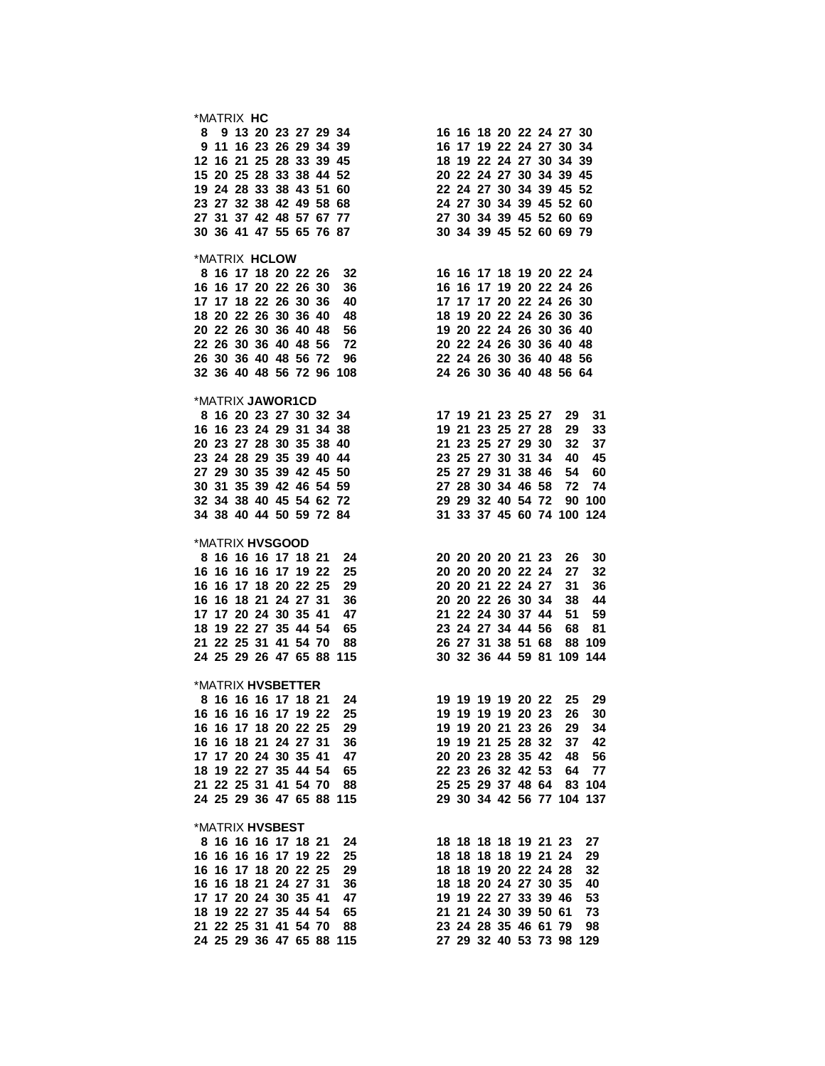| *MATRIX HC           |  |  |                          |                                                                                                                                                                                                                                                    |  |                      |  |                           |    |      |  |
|----------------------|--|--|--------------------------|----------------------------------------------------------------------------------------------------------------------------------------------------------------------------------------------------------------------------------------------------|--|----------------------|--|---------------------------|----|------|--|
|                      |  |  |                          |                                                                                                                                                                                                                                                    |  |                      |  |                           |    |      |  |
|                      |  |  |                          |                                                                                                                                                                                                                                                    |  |                      |  |                           |    |      |  |
|                      |  |  |                          |                                                                                                                                                                                                                                                    |  |                      |  |                           |    |      |  |
|                      |  |  |                          |                                                                                                                                                                                                                                                    |  |                      |  |                           |    |      |  |
|                      |  |  |                          |                                                                                                                                                                                                                                                    |  |                      |  |                           |    |      |  |
|                      |  |  |                          |                                                                                                                                                                                                                                                    |  |                      |  |                           |    |      |  |
|                      |  |  |                          |                                                                                                                                                                                                                                                    |  |                      |  |                           |    |      |  |
|                      |  |  |                          |                                                                                                                                                                                                                                                    |  |                      |  |                           |    |      |  |
|                      |  |  |                          | 16 16 18 20 22 24 27 30<br>16 16 18 20 22 24 27 30<br>16 17 19 22 24 27 30<br>16 17 19 22 24 27 30<br>16 17 19 22 24 27 30<br>16 17 19 22 24 27 30<br>18 19 22 24 27 30<br>18 19 22 24 27 30<br>18 19 22 24 27 30<br>18 19 22 24 27 30<br>18 19 22 |  |                      |  |                           |    |      |  |
| *MATRIX HCLOW        |  |  |                          |                                                                                                                                                                                                                                                    |  |                      |  |                           |    |      |  |
|                      |  |  |                          | MAIRIX HCLOW<br>8 16 17 18 20 22 26 32<br>16 16 17 18 20 22 26 30 36<br>16 16 17 18 22 26 30 36<br>16 16 17 19 20 22 24 26<br>17 17 17 20 22 24 26 30<br>18 20 22 26 30 36 40 48<br>20 22 26 30 36 40 48<br>20 22 24 26 30 36 40 48<br>22 26 30    |  |                      |  |                           |    |      |  |
|                      |  |  |                          |                                                                                                                                                                                                                                                    |  |                      |  |                           |    |      |  |
|                      |  |  |                          |                                                                                                                                                                                                                                                    |  |                      |  |                           |    |      |  |
|                      |  |  |                          |                                                                                                                                                                                                                                                    |  |                      |  |                           |    |      |  |
|                      |  |  |                          |                                                                                                                                                                                                                                                    |  |                      |  |                           |    |      |  |
|                      |  |  |                          |                                                                                                                                                                                                                                                    |  |                      |  |                           |    |      |  |
|                      |  |  |                          |                                                                                                                                                                                                                                                    |  |                      |  |                           |    |      |  |
|                      |  |  |                          |                                                                                                                                                                                                                                                    |  |                      |  |                           |    |      |  |
|                      |  |  |                          |                                                                                                                                                                                                                                                    |  |                      |  |                           |    |      |  |
|                      |  |  |                          |                                                                                                                                                                                                                                                    |  |                      |  |                           |    |      |  |
| *MATRIX JAWOR1CD     |  |  |                          | 17 19 21 23 25 27 29 31<br>16 16 23 24 29 31 34 38<br>20 23 27 28 30 35 38 40<br>21 23 25 27 28 29 33<br>20 23 27 28 30 35 38 40<br>21 23 25 27 29 30 32 37<br>23 24 28 29 35 39 40 44<br>27 29 30 35 39 42 45 50<br>30 31 35 39 42 46 54 59<br>   |  |                      |  |                           |    |      |  |
|                      |  |  |                          |                                                                                                                                                                                                                                                    |  |                      |  |                           |    |      |  |
|                      |  |  |                          |                                                                                                                                                                                                                                                    |  |                      |  |                           |    |      |  |
|                      |  |  |                          |                                                                                                                                                                                                                                                    |  |                      |  |                           |    |      |  |
|                      |  |  |                          |                                                                                                                                                                                                                                                    |  |                      |  |                           |    |      |  |
|                      |  |  |                          |                                                                                                                                                                                                                                                    |  |                      |  |                           |    |      |  |
|                      |  |  |                          |                                                                                                                                                                                                                                                    |  |                      |  |                           |    |      |  |
|                      |  |  |                          |                                                                                                                                                                                                                                                    |  |                      |  |                           |    |      |  |
|                      |  |  |                          |                                                                                                                                                                                                                                                    |  |                      |  |                           |    |      |  |
|                      |  |  |                          |                                                                                                                                                                                                                                                    |  |                      |  |                           |    |      |  |
| *MATRIX HVSGOOD      |  |  |                          |                                                                                                                                                                                                                                                    |  |                      |  |                           |    |      |  |
|                      |  |  |                          | *MATRIX HVSGOOD<br>8 16 16 16 17 18 21 24<br>16 16 16 17 19 22 25<br>20 20 20 20 20 21 23 26 30<br>16 16 17 18 20 22 25<br>20 20 20 20 20 22 24 27 32<br>16 16 18 21 24 27 31<br>16 16 18 21 24 27 31<br>16 16 18 21 24 27 31<br>16 16 18 21 24    |  |                      |  |                           |    |      |  |
|                      |  |  |                          |                                                                                                                                                                                                                                                    |  |                      |  |                           |    |      |  |
|                      |  |  |                          |                                                                                                                                                                                                                                                    |  |                      |  |                           |    |      |  |
|                      |  |  |                          |                                                                                                                                                                                                                                                    |  |                      |  |                           |    |      |  |
|                      |  |  |                          |                                                                                                                                                                                                                                                    |  |                      |  |                           |    |      |  |
|                      |  |  |                          |                                                                                                                                                                                                                                                    |  |                      |  |                           |    |      |  |
|                      |  |  |                          |                                                                                                                                                                                                                                                    |  |                      |  |                           |    |      |  |
|                      |  |  |                          |                                                                                                                                                                                                                                                    |  |                      |  |                           |    |      |  |
|                      |  |  |                          |                                                                                                                                                                                                                                                    |  |                      |  |                           |    |      |  |
|                      |  |  |                          |                                                                                                                                                                                                                                                    |  |                      |  |                           |    |      |  |
|                      |  |  |                          | *MATRIX HVSBETTER<br>8 16 16 16 17 18 21 24 19 19 19 19 19 20 22 25 29                                                                                                                                                                             |  |                      |  |                           |    |      |  |
|                      |  |  |                          |                                                                                                                                                                                                                                                    |  |                      |  |                           |    |      |  |
| 16 16 16 16 17 19 22 |  |  | 25                       |                                                                                                                                                                                                                                                    |  | 19 19 19 19 20 23    |  | 26                        |    | 30   |  |
| 16 16 17 18 20 22 25 |  |  | - 29                     |                                                                                                                                                                                                                                                    |  |                      |  | 19 19 20 21 23 26 29      |    | - 34 |  |
| 16 16 18 21 24 27 31 |  |  | 36                       |                                                                                                                                                                                                                                                    |  |                      |  | 19 19 21 25 28 32 37      |    | 42   |  |
| 17 17 20 24 30 35 41 |  |  | 47                       |                                                                                                                                                                                                                                                    |  |                      |  | 20 20 23 28 35 42 48      |    | 56   |  |
| 18 19 22 27 35 44 54 |  |  | 65                       |                                                                                                                                                                                                                                                    |  |                      |  | 22 23 26 32 42 53 64      |    | 77   |  |
| 21 22 25 31 41 54 70 |  |  | 88                       |                                                                                                                                                                                                                                                    |  |                      |  | 25 25 29 37 48 64 83 104  |    |      |  |
|                      |  |  | 24 25 29 36 47 65 88 115 |                                                                                                                                                                                                                                                    |  |                      |  | 29 30 34 42 56 77 104 137 |    |      |  |
|                      |  |  |                          |                                                                                                                                                                                                                                                    |  |                      |  |                           |    |      |  |
| *MATRIX HVSBEST      |  |  |                          |                                                                                                                                                                                                                                                    |  |                      |  |                           |    |      |  |
| 8 16 16 16 17 18 21  |  |  | 24                       |                                                                                                                                                                                                                                                    |  | 18 18 18 18 19 21 23 |  |                           | 27 |      |  |
| 16 16 16 16 17 19 22 |  |  | 25                       |                                                                                                                                                                                                                                                    |  | 18 18 18 18 19 21 24 |  |                           | 29 |      |  |
| 16 16 17 18 20 22 25 |  |  | 29                       |                                                                                                                                                                                                                                                    |  | 18 18 19 20 22 24 28 |  |                           | 32 |      |  |
| 16 16 18 21 24 27 31 |  |  | 36                       |                                                                                                                                                                                                                                                    |  | 18 18 20 24 27 30 35 |  |                           | 40 |      |  |
| 17 17 20 24 30 35 41 |  |  | 47                       |                                                                                                                                                                                                                                                    |  | 19 19 22 27 33 39 46 |  |                           | 53 |      |  |
| 18 19 22 27 35 44 54 |  |  | 65                       |                                                                                                                                                                                                                                                    |  | 21 21 24 30 39 50 61 |  |                           | 73 |      |  |
| 21 22 25 31 41 54 70 |  |  | 88                       |                                                                                                                                                                                                                                                    |  | 23 24 28 35 46 61 79 |  |                           | 98 |      |  |
|                      |  |  | 24 25 29 36 47 65 88 115 |                                                                                                                                                                                                                                                    |  |                      |  | 27 29 32 40 53 73 98 129  |    |      |  |
|                      |  |  |                          |                                                                                                                                                                                                                                                    |  |                      |  |                           |    |      |  |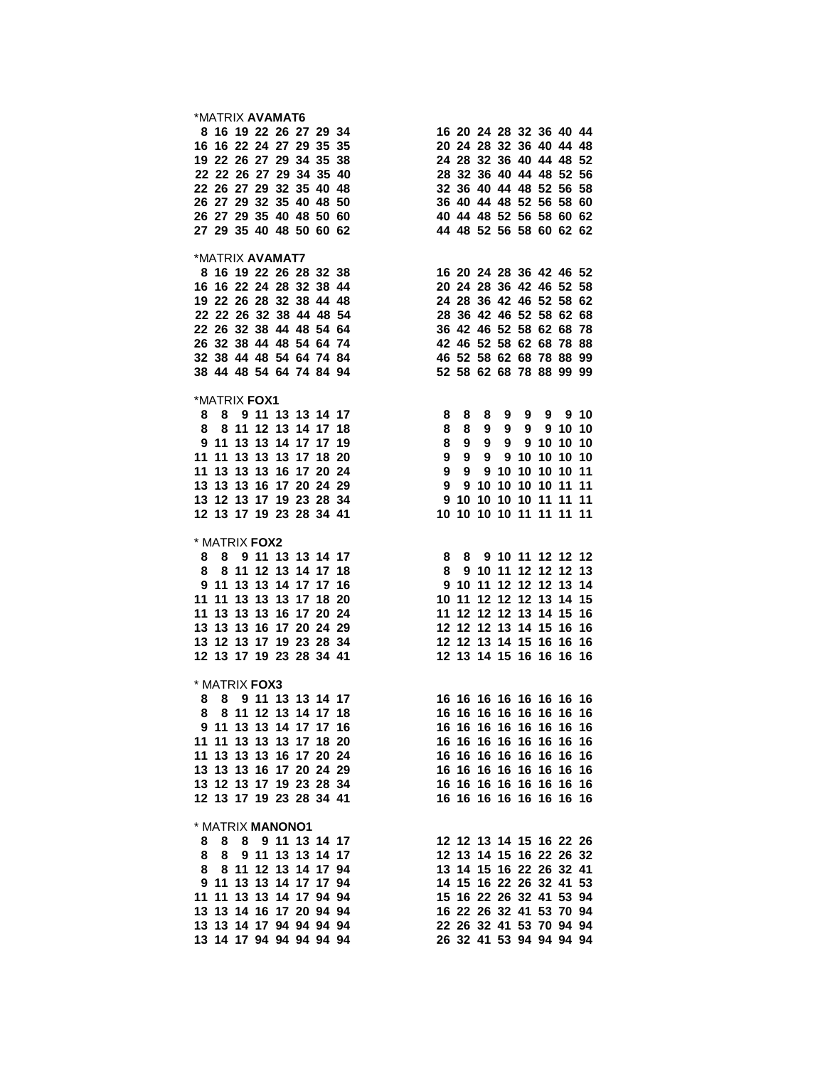| *MATRIX <b>AVAMAT6</b> |  |                         |                         |                                                                                                                                                                                                                                                   |  |  |  |                         |  |
|------------------------|--|-------------------------|-------------------------|---------------------------------------------------------------------------------------------------------------------------------------------------------------------------------------------------------------------------------------------------|--|--|--|-------------------------|--|
|                        |  |                         |                         | *MATRIX AVAMAT6<br>8 16 19 22 26 27 29 34<br>16 20 24 28 32 36 40 44<br>16 16 22 24 27 29 35 35<br>20 24 28 32 36 40 44 48<br>19 22 26 27 29 34 35 38<br>24 28 32 36 40 44 48 52<br>22 22 26 27 29 32 35 40 48<br>26 27 29 32 35 40 48<br>26 27   |  |  |  |                         |  |
|                        |  |                         |                         |                                                                                                                                                                                                                                                   |  |  |  |                         |  |
|                        |  |                         |                         |                                                                                                                                                                                                                                                   |  |  |  |                         |  |
|                        |  |                         |                         |                                                                                                                                                                                                                                                   |  |  |  |                         |  |
|                        |  |                         |                         |                                                                                                                                                                                                                                                   |  |  |  |                         |  |
|                        |  |                         |                         |                                                                                                                                                                                                                                                   |  |  |  |                         |  |
|                        |  |                         |                         |                                                                                                                                                                                                                                                   |  |  |  |                         |  |
|                        |  |                         |                         |                                                                                                                                                                                                                                                   |  |  |  |                         |  |
|                        |  |                         |                         |                                                                                                                                                                                                                                                   |  |  |  |                         |  |
| *MATRIX <b>AVAMAT7</b> |  |                         |                         |                                                                                                                                                                                                                                                   |  |  |  |                         |  |
|                        |  |                         |                         |                                                                                                                                                                                                                                                   |  |  |  |                         |  |
|                        |  |                         |                         |                                                                                                                                                                                                                                                   |  |  |  |                         |  |
|                        |  |                         |                         |                                                                                                                                                                                                                                                   |  |  |  |                         |  |
|                        |  |                         |                         |                                                                                                                                                                                                                                                   |  |  |  |                         |  |
|                        |  |                         |                         |                                                                                                                                                                                                                                                   |  |  |  |                         |  |
|                        |  |                         |                         |                                                                                                                                                                                                                                                   |  |  |  |                         |  |
|                        |  |                         |                         |                                                                                                                                                                                                                                                   |  |  |  |                         |  |
|                        |  |                         |                         | *MATRIX AVAMAT7<br>8 16 19 22 26 28 32 38<br>16 20 24 28 36 42 46 52<br>16 16 22 24 28 32 38 44<br>20 24 28 36 42 46 52 58<br>19 22 26 28 32 38 44 48<br>24 28 36 42 46 52 58 62<br>22 22 26 32 38 44 48 54 64<br>28 36 42 46 52 58 62 68<br>22   |  |  |  |                         |  |
|                        |  |                         |                         |                                                                                                                                                                                                                                                   |  |  |  |                         |  |
| *MATRIX FOX1           |  |                         |                         |                                                                                                                                                                                                                                                   |  |  |  |                         |  |
|                        |  |                         |                         |                                                                                                                                                                                                                                                   |  |  |  |                         |  |
|                        |  |                         |                         |                                                                                                                                                                                                                                                   |  |  |  |                         |  |
|                        |  |                         |                         |                                                                                                                                                                                                                                                   |  |  |  |                         |  |
|                        |  |                         |                         |                                                                                                                                                                                                                                                   |  |  |  |                         |  |
|                        |  |                         |                         |                                                                                                                                                                                                                                                   |  |  |  |                         |  |
|                        |  |                         |                         |                                                                                                                                                                                                                                                   |  |  |  |                         |  |
|                        |  |                         |                         |                                                                                                                                                                                                                                                   |  |  |  |                         |  |
|                        |  |                         |                         | 8 8 9 11 13 13 14 17<br>8 8 9 11 13 13 14 17<br>9 11 13 13 14 17 19<br>11 11 13 13 14 17 17 19<br>11 11 13 13 13 17 18<br>11 13 13 13 17 18<br>11 13 13 13 16 17 20 24<br>13 13 16 17 20 24<br>13 13 16 17 20 24<br>13 13 16 17 20 24<br>13 13 16 |  |  |  |                         |  |
| * MATRIX FOX2          |  |                         |                         |                                                                                                                                                                                                                                                   |  |  |  |                         |  |
|                        |  |                         |                         | 8 8 9 11 13 13 14 17<br>8 8 9 11 13 13 14 17<br>8 9 10 11 12 12 12<br>9 11 13 13 14 17 16<br>9 10 11 12 12 12 13<br>9 11 11 13 13 14 17 16<br>9 10 11 12 12 12 13 14<br>9 10 11 12 12 12 13 14<br>11 11 13 13 13 16 17 20 24<br>11 12 12 12 13 1  |  |  |  |                         |  |
|                        |  |                         |                         |                                                                                                                                                                                                                                                   |  |  |  |                         |  |
|                        |  |                         |                         |                                                                                                                                                                                                                                                   |  |  |  |                         |  |
|                        |  |                         |                         |                                                                                                                                                                                                                                                   |  |  |  |                         |  |
|                        |  |                         |                         |                                                                                                                                                                                                                                                   |  |  |  |                         |  |
|                        |  |                         |                         |                                                                                                                                                                                                                                                   |  |  |  |                         |  |
|                        |  |                         |                         |                                                                                                                                                                                                                                                   |  |  |  |                         |  |
|                        |  |                         |                         |                                                                                                                                                                                                                                                   |  |  |  |                         |  |
|                        |  |                         |                         |                                                                                                                                                                                                                                                   |  |  |  |                         |  |
| * MATRIX <b>FOX3</b>   |  |                         |                         |                                                                                                                                                                                                                                                   |  |  |  |                         |  |
|                        |  |                         |                         | <b>MAIRIA FUAS</b><br>8 8 9 11 13 13 14 17 16 16 16 16 16 16 16 16 16                                                                                                                                                                             |  |  |  |                         |  |
|                        |  | 8 8 11 12 13 14 17 18   |                         |                                                                                                                                                                                                                                                   |  |  |  | 16 16 16 16 16 16 16 16 |  |
|                        |  |                         | 9 11 13 13 14 17 17 16  |                                                                                                                                                                                                                                                   |  |  |  | 16 16 16 16 16 16 16 16 |  |
|                        |  |                         | 11 11 13 13 13 17 18 20 |                                                                                                                                                                                                                                                   |  |  |  | 16 16 16 16 16 16 16 16 |  |
|                        |  |                         | 11 13 13 13 16 17 20 24 |                                                                                                                                                                                                                                                   |  |  |  | 16 16 16 16 16 16 16 16 |  |
|                        |  | 13 13 13 16 17 20 24 29 |                         |                                                                                                                                                                                                                                                   |  |  |  | 16 16 16 16 16 16 16 16 |  |
|                        |  | 13 12 13 17 19 23 28 34 |                         |                                                                                                                                                                                                                                                   |  |  |  | 16 16 16 16 16 16 16 16 |  |
|                        |  | 12 13 17 19 23 28 34 41 |                         |                                                                                                                                                                                                                                                   |  |  |  | 16 16 16 16 16 16 16 16 |  |
|                        |  | * MATRIX MANONO1        |                         |                                                                                                                                                                                                                                                   |  |  |  |                         |  |
|                        |  | 8 8 8 9 11 13 14 17     |                         |                                                                                                                                                                                                                                                   |  |  |  | 12 12 13 14 15 16 22 26 |  |
|                        |  | 8 8 9 11 13 13 14 17    |                         |                                                                                                                                                                                                                                                   |  |  |  | 12 13 14 15 16 22 26 32 |  |
|                        |  | 8 8 11 12 13 14 17 94   |                         |                                                                                                                                                                                                                                                   |  |  |  | 13 14 15 16 22 26 32 41 |  |
|                        |  | 9 11 13 13 14 17 17 94  |                         |                                                                                                                                                                                                                                                   |  |  |  | 14 15 16 22 26 32 41 53 |  |
|                        |  | 11 11 13 13 14 17 94 94 |                         |                                                                                                                                                                                                                                                   |  |  |  | 15 16 22 26 32 41 53 94 |  |
|                        |  | 13 13 14 16 17 20 94 94 |                         |                                                                                                                                                                                                                                                   |  |  |  | 16 22 26 32 41 53 70 94 |  |
|                        |  | 13 13 14 17 94 94 94 94 |                         |                                                                                                                                                                                                                                                   |  |  |  | 22 26 32 41 53 70 94 94 |  |
|                        |  | 13 14 17 94 94 94 94 94 |                         |                                                                                                                                                                                                                                                   |  |  |  | 26 32 41 53 94 94 94 94 |  |
|                        |  |                         |                         |                                                                                                                                                                                                                                                   |  |  |  |                         |  |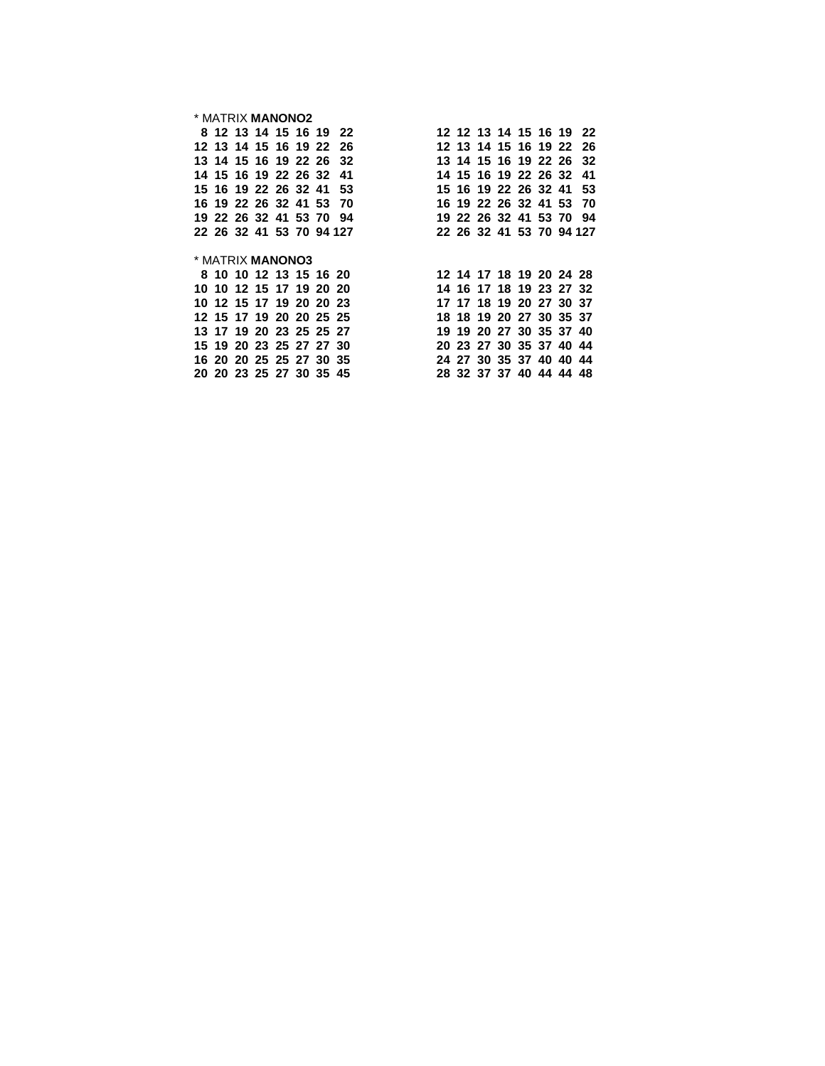### \* MATRIX **MANONO2**

|                         |  |  | 8 12 13 14 15 16 19 22  | 12 12 13 14 15 16 19 22                            |
|-------------------------|--|--|-------------------------|----------------------------------------------------|
|                         |  |  |                         | 12 13 14 15 16 19 22 26<br>12 13 14 15 16 19 22 26 |
|                         |  |  |                         | 13 14 15 16 19 22 26 32<br>13 14 15 16 19 22 26 32 |
|                         |  |  | 14 15 16 19 22 26 32 41 | 14 15 16 19 22 26 32 41                            |
|                         |  |  |                         | 15 16 19 22 26 32 41 53<br>15 16 19 22 26 32 41 53 |
|                         |  |  |                         | 16 19 22 26 32 41 53 70<br>16 19 22 26 32 41 53 70 |
|                         |  |  | 19 22 26 32 41 53 70 94 | 19 22 26 32 41 53 70 94                            |
|                         |  |  |                         | 22 26 32 41 53 70 94 127 22 26 32 41 53 70 94 127  |
|                         |  |  |                         |                                                    |
|                         |  |  |                         |                                                    |
| * MATRIX <b>MANONO3</b> |  |  |                         |                                                    |
|                         |  |  |                         | 8 10 10 12 13 15 16 20<br>12 14 17 18 19 20 24 28  |
|                         |  |  | 10 10 12 15 17 19 20 20 | 14 16 17 18 19 23 27 32                            |
|                         |  |  |                         | 10 12 15 17 19 20 20 23<br>17 17 18 19 20 27 30 37 |
| 12 15 17 19 20 20 25 25 |  |  |                         | 18 18 19 20 27 30 35 37                            |
| 13 17 19 20 23 25 25 27 |  |  |                         | 19 19 20 27 30 35 37 40                            |
|                         |  |  | 15 19 20 23 25 27 27 30 | 20 23 27 30 35 37 40 44                            |
|                         |  |  | 16 20 20 25 25 27 30 35 | 24 27 30 35 37 40 40 44                            |